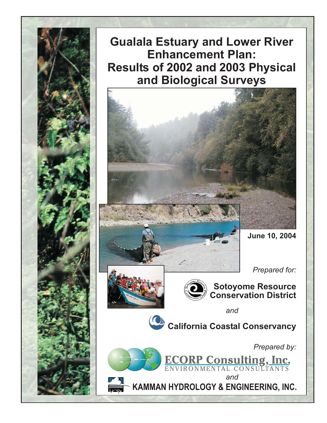**Gualala Estuary and Lower River Enhancement Plan:** Results of 2002 and 2003 Physical and Biological Surveys



Prepared for:





**Sotoyome Resource<br>Conservation District** 

and

California Coastal Conservancy

Prepared by:

ECORP Consulting, Inc.

and KAMMAN HYDROLOGY & ENGINEERING, INC.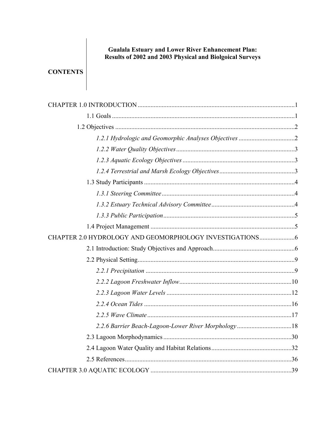# Gualala Estuary and Lower River Enhancement Plan:<br>Results of 2002 and 2003 Physical and Biolgoical Surveys

# **CONTENTS**

| 2.2.6 Barrier Beach-Lagoon-Lower River Morphology18 |  |
|-----------------------------------------------------|--|
|                                                     |  |
|                                                     |  |
|                                                     |  |
|                                                     |  |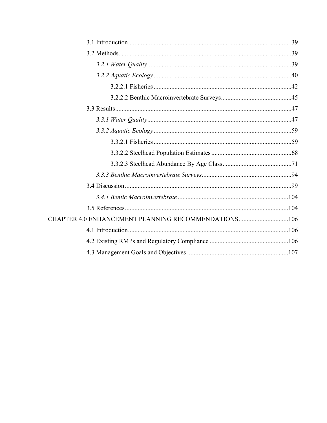| CHAPTER 4.0 ENHANCEMENT PLANNING RECOMMENDATIONS106 |  |
|-----------------------------------------------------|--|
|                                                     |  |
|                                                     |  |
|                                                     |  |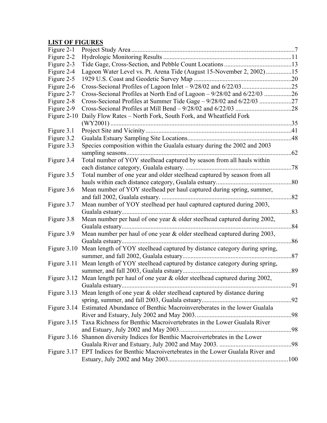# **LIST OF FIGURES**

| Figure 2-1  |                                                                                      |     |
|-------------|--------------------------------------------------------------------------------------|-----|
| Figure 2-2  |                                                                                      |     |
| Figure 2-3  |                                                                                      |     |
| Figure 2-4  | Lagoon Water Level vs. Pt. Arena Tide (August 15-November 2, 2002)15                 |     |
| Figure 2-5  |                                                                                      |     |
| Figure 2-6  |                                                                                      |     |
| Figure 2-7  |                                                                                      |     |
| Figure 2-8  |                                                                                      |     |
| Figure 2-9  |                                                                                      |     |
| Figure 2-10 | Daily Flow Rates - North Fork, South Fork, and Wheatfield Fork                       |     |
|             |                                                                                      |     |
| Figure 3.1  |                                                                                      |     |
| Figure 3.2  |                                                                                      |     |
| Figure 3.3  | Species composition within the Gualala estuary during the 2002 and 2003              |     |
|             |                                                                                      | .62 |
| Figure 3.4  | Total number of YOY steelhead captured by season from all hauls within               |     |
|             |                                                                                      | .78 |
| Figure 3.5  | Total number of one year and older steelhead captured by season from all             |     |
|             |                                                                                      | .80 |
| Figure 3.6  | Mean number of YOY steelhead per haul captured during spring, summer,                |     |
|             |                                                                                      | .82 |
| Figure 3.7  | Mean number of YOY steelhead per haul captured captured during 2003,                 |     |
|             |                                                                                      | .83 |
| Figure 3.8  | Mean number per haul of one year & older steelhead captured during 2002,             |     |
|             |                                                                                      | .84 |
| Figure 3.9  | Mean number per haul of one year & older steelhead captured during 2003,             |     |
|             |                                                                                      | .86 |
| Figure 3.10 | Mean length of YOY steelhead captured by distance category during spring,            |     |
|             |                                                                                      | .87 |
| Figure 3.11 | Mean length of YOY steelhead captured by distance category during spring,            |     |
|             |                                                                                      | .89 |
|             | Figure 3.12 Mean length per haul of one year & older steelhead captured during 2002, |     |
|             |                                                                                      |     |
|             | Figure 3.13 Mean length of one year $\&$ older steelhead captured by distance during |     |
|             |                                                                                      |     |
|             | Figure 3.14 Estimated Abundance of Benthic Macroinvereberates in the lower Gualala   |     |
|             |                                                                                      |     |
|             | Figure 3.15 Taxa Richness for Benthic Macroivertebrates in the Lower Gualala River   |     |
|             |                                                                                      |     |
|             | Figure 3.16 Shannon diversity Indices for Benthic Macroivertebrates in the Lower     |     |
|             |                                                                                      |     |
|             | Figure 3.17 EPT Indices for Benthic Macroivertebrates in the Lower Gualala River and |     |
|             |                                                                                      |     |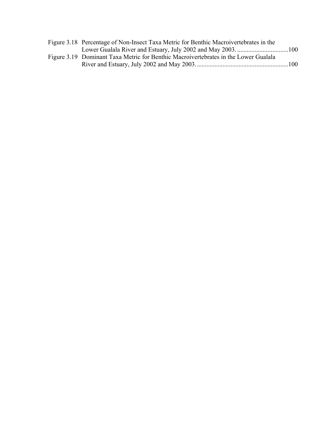| Figure 3.18 Percentage of Non-Insect Taxa Metric for Benthic Macroivertebrates in the |  |
|---------------------------------------------------------------------------------------|--|
|                                                                                       |  |
| Figure 3.19 Dominant Taxa Metric for Benthic Macroivertebrates in the Lower Gualala   |  |
|                                                                                       |  |
|                                                                                       |  |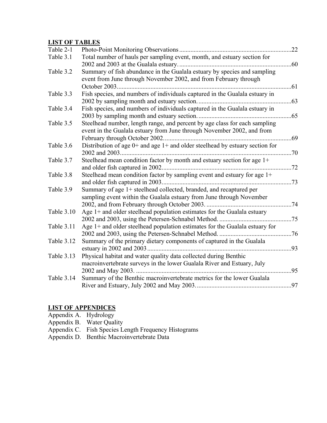# **LIST OF TABLES**

| Table 2-1         |                                                                                                                                                                                       | .22 |
|-------------------|---------------------------------------------------------------------------------------------------------------------------------------------------------------------------------------|-----|
| Table 3.1         | Total number of hauls per sampling event, month, and estuary section for                                                                                                              |     |
| Table 3.2         | Summary of fish abundance in the Gualala estuary by species and sampling<br>event from June through November 2002, and from February through<br>October 2003.                         | .61 |
| Table 3.3         | Fish species, and numbers of individuals captured in the Gualala estuary in                                                                                                           |     |
|                   |                                                                                                                                                                                       | 63  |
| Table 3.4         | Fish species, and numbers of individuals captured in the Gualala estuary in                                                                                                           | .65 |
| Table 3.5         | Steelhead number, length range, and percent by age class for each sampling<br>event in the Gualala estuary from June through November 2002, and from<br>February through October 2002 | .69 |
| Table 3.6         | Distribution of age $0+$ and age $1+$ and older steelhead by estuary section for                                                                                                      | 70  |
| Table 3.7         | Steelhead mean condition factor by month and estuary section for age 1+                                                                                                               | .72 |
| Table 3.8         | Steelhead mean condition factor by sampling event and estuary for age 1+                                                                                                              |     |
| Table 3.9         | Summary of age 1+ steelhead collected, branded, and recaptured per<br>sampling event within the Gualala estuary from June through November                                            | .74 |
| Table 3.10        | Age $1+$ and older steelhead population estimates for the Gualala estuary                                                                                                             | .75 |
| Table 3.11        | Age $1+$ and older steelhead population estimates for the Gualala estuary for                                                                                                         |     |
| <b>Table 3.12</b> | Summary of the primary dietary components of captured in the Gualala<br>estuary in 2002 and 2003.                                                                                     | .93 |
| Table 3.13        | Physical habitat and water quality data collected during Benthic<br>macroinvertebrate surveys in the lower Gualala River and Estuary, July                                            | 95  |
| Table 3.14        | Summary of the Benthic macroinvertebrate metrics for the lower Gualala                                                                                                                | 97  |
|                   |                                                                                                                                                                                       |     |

#### **LIST OF APPENDICES**

Appendix A. Hydrology

- Appendix B. Water Quality
- Appendix C. Fish Species Length Frequency Histograms
- Appendix D. Benthic Macroinvertebrate Data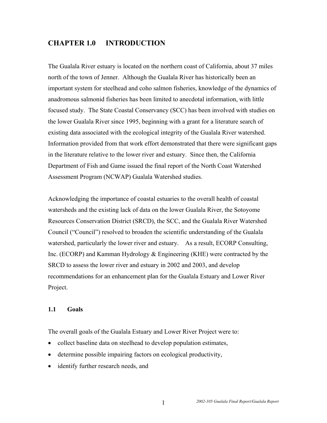## **CHAPTER 1.0 INTRODUCTION**

The Gualala River estuary is located on the northern coast of California, about 37 miles north of the town of Jenner. Although the Gualala River has historically been an important system for steelhead and coho salmon fisheries, knowledge of the dynamics of anadromous salmonid fisheries has been limited to anecdotal information, with little focused study. The State Coastal Conservancy (SCC) has been involved with studies on the lower Gualala River since 1995, beginning with a grant for a literature search of existing data associated with the ecological integrity of the Gualala River watershed. Information provided from that work effort demonstrated that there were significant gaps in the literature relative to the lower river and estuary. Since then, the California Department of Fish and Game issued the final report of the North Coast Watershed Assessment Program (NCWAP) Gualala Watershed studies.

Acknowledging the importance of coastal estuaries to the overall health of coastal watersheds and the existing lack of data on the lower Gualala River, the Sotoyome Resources Conservation District (SRCD), the SCC, and the Gualala River Watershed Council ("Council") resolved to broaden the scientific understanding of the Gualala watershed, particularly the lower river and estuary. As a result, ECORP Consulting, Inc. (ECORP) and Kamman Hydrology & Engineering (KHE) were contracted by the SRCD to assess the lower river and estuary in 2002 and 2003, and develop recommendations for an enhancement plan for the Gualala Estuary and Lower River Project.

#### **1.1 Goals**

The overall goals of the Gualala Estuary and Lower River Project were to:

- collect baseline data on steelhead to develop population estimates,
- determine possible impairing factors on ecological productivity,
- identify further research needs, and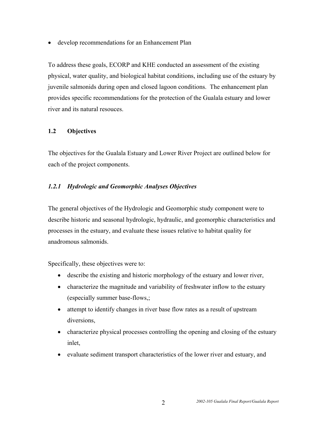• develop recommendations for an Enhancement Plan

To address these goals, ECORP and KHE conducted an assessment of the existing physical, water quality, and biological habitat conditions, including use of the estuary by juvenile salmonids during open and closed lagoon conditions. The enhancement plan provides specific recommendations for the protection of the Gualala estuary and lower river and its natural resouces.

#### **1.2 Objectives**

The objectives for the Gualala Estuary and Lower River Project are outlined below for each of the project components.

### *1.2.1 Hydrologic and Geomorphic Analyses Objectives*

The general objectives of the Hydrologic and Geomorphic study component were to describe historic and seasonal hydrologic, hydraulic, and geomorphic characteristics and processes in the estuary, and evaluate these issues relative to habitat quality for anadromous salmonids.

Specifically, these objectives were to:

- describe the existing and historic morphology of the estuary and lower river,
- characterize the magnitude and variability of freshwater inflow to the estuary (especially summer base-flows,;
- attempt to identify changes in river base flow rates as a result of upstream diversions,
- characterize physical processes controlling the opening and closing of the estuary inlet,
- evaluate sediment transport characteristics of the lower river and estuary, and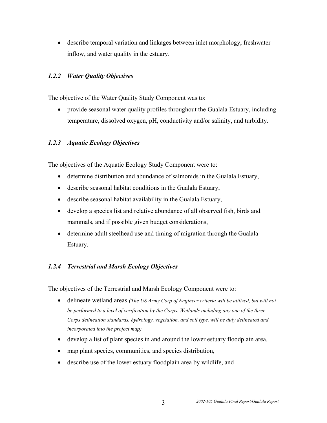• describe temporal variation and linkages between inlet morphology, freshwater inflow, and water quality in the estuary.

#### *1.2.2 Water Quality Objectives*

The objective of the Water Quality Study Component was to:

• provide seasonal water quality profiles throughout the Gualala Estuary, including temperature, dissolved oxygen, pH, conductivity and/or salinity, and turbidity.

#### *1.2.3 Aquatic Ecology Objectives*

The objectives of the Aquatic Ecology Study Component were to:

- determine distribution and abundance of salmonids in the Gualala Estuary,
- describe seasonal habitat conditions in the Gualala Estuary,
- describe seasonal habitat availability in the Gualala Estuary,
- develop a species list and relative abundance of all observed fish, birds and mammals, and if possible given budget considerations,
- determine adult steelhead use and timing of migration through the Gualala Estuary.

#### *1.2.4 Terrestrial and Marsh Ecology Objectives*

The objectives of the Terrestrial and Marsh Ecology Component were to:

- delineate wetland areas *(The US Army Corp of Engineer criteria will be utilized, but will not be performed to a level of verification by the Corps. Wetlands including any one of the three Corps delineation standards, hydrology, vegetation, and soil type, will be duly delineated and incorporated into the project map),*
- develop a list of plant species in and around the lower estuary floodplain area,
- map plant species, communities, and species distribution,
- describe use of the lower estuary floodplain area by wildlife, and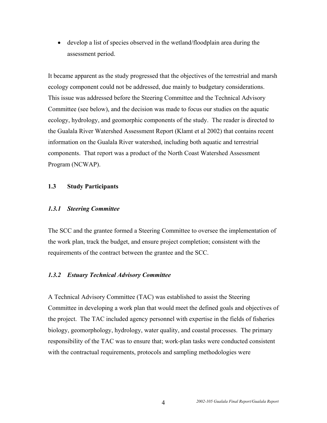• develop a list of species observed in the wetland/floodplain area during the assessment period.

It became apparent as the study progressed that the objectives of the terrestrial and marsh ecology component could not be addressed, due mainly to budgetary considerations. This issue was addressed before the Steering Committee and the Technical Advisory Committee (see below), and the decision was made to focus our studies on the aquatic ecology, hydrology, and geomorphic components of the study. The reader is directed to the Gualala River Watershed Assessment Report (Klamt et al 2002) that contains recent information on the Gualala River watershed, including both aquatic and terrestrial components. That report was a product of the North Coast Watershed Assessment Program (NCWAP).

#### **1.3 Study Participants**

#### *1.3.1 Steering Committee*

The SCC and the grantee formed a Steering Committee to oversee the implementation of the work plan, track the budget, and ensure project completion; consistent with the requirements of the contract between the grantee and the SCC.

#### *1.3.2 Estuary Technical Advisory Committee*

A Technical Advisory Committee (TAC) was established to assist the Steering Committee in developing a work plan that would meet the defined goals and objectives of the project. The TAC included agency personnel with expertise in the fields of fisheries biology, geomorphology, hydrology, water quality, and coastal processes. The primary responsibility of the TAC was to ensure that; work-plan tasks were conducted consistent with the contractual requirements, protocols and sampling methodologies were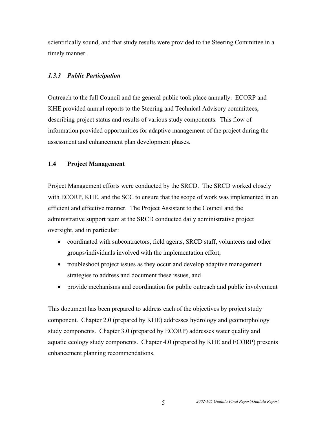scientifically sound, and that study results were provided to the Steering Committee in a timely manner.

#### *1.3.3 Public Participation*

Outreach to the full Council and the general public took place annually. ECORP and KHE provided annual reports to the Steering and Technical Advisory committees, describing project status and results of various study components. This flow of information provided opportunities for adaptive management of the project during the assessment and enhancement plan development phases.

#### **1.4 Project Management**

Project Management efforts were conducted by the SRCD. The SRCD worked closely with ECORP, KHE, and the SCC to ensure that the scope of work was implemented in an efficient and effective manner. The Project Assistant to the Council and the administrative support team at the SRCD conducted daily administrative project oversight, and in particular:

- coordinated with subcontractors, field agents, SRCD staff, volunteers and other groups/individuals involved with the implementation effort,
- troubleshoot project issues as they occur and develop adaptive management strategies to address and document these issues, and
- provide mechanisms and coordination for public outreach and public involvement

This document has been prepared to address each of the objectives by project study component. Chapter 2.0 (prepared by KHE) addresses hydrology and geomorphology study components. Chapter 3.0 (prepared by ECORP) addresses water quality and aquatic ecology study components. Chapter 4.0 (prepared by KHE and ECORP) presents enhancement planning recommendations.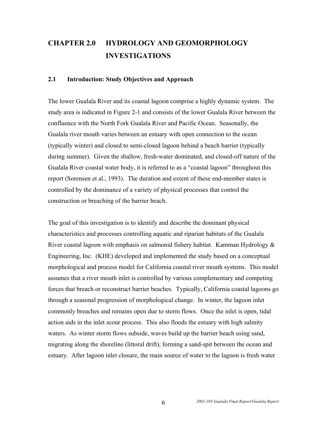# **CHAPTER 2.0 HYDROLOGY AND GEOMORPHOLOGY INVESTIGATIONS**

#### **2.1 Introduction: Study Objectives and Approach**

The lower Gualala River and its coastal lagoon comprise a highly dynamic system. The study area is indicated in Figure 2-1 and consists of the lower Gualala River between the confluence with the North Fork Gualala River and Pacific Ocean. Seasonally, the Gualala river mouth varies between an estuary with open connection to the ocean (typically winter) and closed to semi-closed lagoon behind a beach barrier (typically during summer). Given the shallow, fresh-water dominated, and closed-off nature of the Gualala River coastal water body, it is referred to as a "coastal lagoon" throughout this report (Sorensen et al., 1993). The duration and extent of these end-member states is controlled by the dominance of a variety of physical processes that control the construction or breaching of the barrier beach.

The goal of this investigation is to identify and describe the dominant physical characteristics and processes controlling aquatic and riparian habitats of the Gualala River coastal lagoon with emphasis on salmonid fishery habitat. Kamman Hydrology  $\&$ Engineering, Inc. (KHE) developed and implemented the study based on a conceptual morphological and process model for California coastal river mouth systems. This model assumes that a river mouth inlet is controlled by various complementary and competing forces that breach or reconstruct barrier beaches. Typically, California coastal lagoons go through a seasonal progression of morphological change. In winter, the lagoon inlet commonly breaches and remains open due to storm flows. Once the inlet is open, tidal action aids in the inlet scour process. This also floods the estuary with high salinity waters. As winter storm flows subside, waves build up the barrier beach using sand, migrating along the shoreline (littoral drift), forming a sand-spit between the ocean and estuary. After lagoon inlet closure, the main source of water to the lagoon is fresh water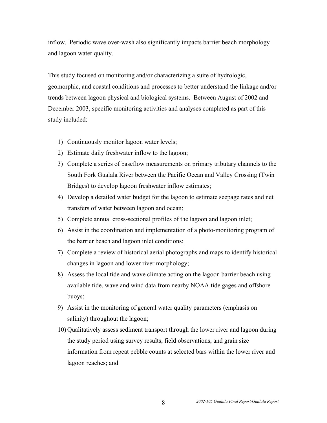inflow. Periodic wave over-wash also significantly impacts barrier beach morphology and lagoon water quality.

This study focused on monitoring and/or characterizing a suite of hydrologic, geomorphic, and coastal conditions and processes to better understand the linkage and/or trends between lagoon physical and biological systems. Between August of 2002 and December 2003, specific monitoring activities and analyses completed as part of this study included:

- 1) Continuously monitor lagoon water levels;
- 2) Estimate daily freshwater inflow to the lagoon;
- 3) Complete a series of baseflow measurements on primary tributary channels to the South Fork Gualala River between the Pacific Ocean and Valley Crossing (Twin Bridges) to develop lagoon freshwater inflow estimates;
- 4) Develop a detailed water budget for the lagoon to estimate seepage rates and net transfers of water between lagoon and ocean;
- 5) Complete annual cross-sectional profiles of the lagoon and lagoon inlet;
- 6) Assist in the coordination and implementation of a photo-monitoring program of the barrier beach and lagoon inlet conditions;
- 7) Complete a review of historical aerial photographs and maps to identify historical changes in lagoon and lower river morphology;
- 8) Assess the local tide and wave climate acting on the lagoon barrier beach using available tide, wave and wind data from nearby NOAA tide gages and offshore buoys;
- 9) Assist in the monitoring of general water quality parameters (emphasis on salinity) throughout the lagoon;
- 10) Qualitatively assess sediment transport through the lower river and lagoon during the study period using survey results, field observations, and grain size information from repeat pebble counts at selected bars within the lower river and lagoon reaches; and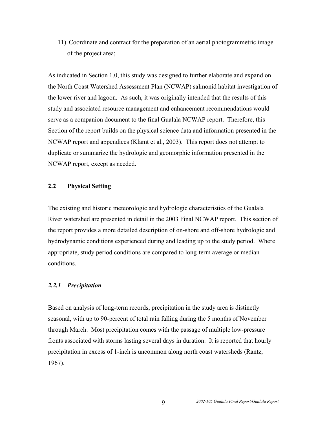11) Coordinate and contract for the preparation of an aerial photogrammetric image of the project area;

As indicated in Section 1.0, this study was designed to further elaborate and expand on the North Coast Watershed Assessment Plan (NCWAP) salmonid habitat investigation of the lower river and lagoon. As such, it was originally intended that the results of this study and associated resource management and enhancement recommendations would serve as a companion document to the final Gualala NCWAP report. Therefore, this Section of the report builds on the physical science data and information presented in the NCWAP report and appendices (Klamt et al., 2003). This report does not attempt to duplicate or summarize the hydrologic and geomorphic information presented in the NCWAP report, except as needed.

## **2.2 Physical Setting**

The existing and historic meteorologic and hydrologic characteristics of the Gualala River watershed are presented in detail in the 2003 Final NCWAP report. This section of the report provides a more detailed description of on-shore and off-shore hydrologic and hydrodynamic conditions experienced during and leading up to the study period. Where appropriate, study period conditions are compared to long-term average or median conditions.

#### *2.2.1 Precipitation*

Based on analysis of long-term records, precipitation in the study area is distinctly seasonal, with up to 90-percent of total rain falling during the 5 months of November through March. Most precipitation comes with the passage of multiple low-pressure fronts associated with storms lasting several days in duration. It is reported that hourly precipitation in excess of 1-inch is uncommon along north coast watersheds (Rantz, 1967).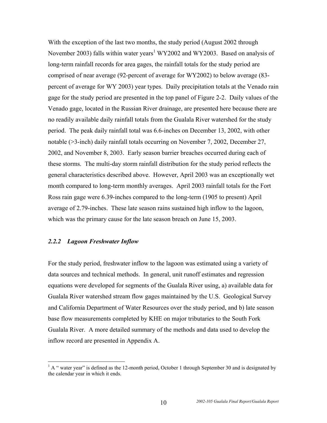With the exception of the last two months, the study period (August 2002 through November 2003) falls within water years<sup>[1](#page-15-0)</sup> WY2002 and WY2003. Based on analysis of long-term rainfall records for area gages, the rainfall totals for the study period are comprised of near average (92-percent of average for WY2002) to below average (83 percent of average for WY 2003) year types. Daily precipitation totals at the Venado rain gage for the study period are presented in the top panel of Figure 2-2. Daily values of the Venado gage, located in the Russian River drainage, are presented here because there are no readily available daily rainfall totals from the Gualala River watershed for the study period. The peak daily rainfall total was 6.6-inches on December 13, 2002, with other notable (>3-inch) daily rainfall totals occurring on November 7, 2002, December 27, 2002, and November 8, 2003. Early season barrier breaches occurred during each of these storms. The multi-day storm rainfall distribution for the study period reflects the general characteristics described above. However, April 2003 was an exceptionally wet month compared to long-term monthly averages. April 2003 rainfall totals for the Fort Ross rain gage were 6.39-inches compared to the long-term (1905 to present) April average of 2.79-inches. These late season rains sustained high inflow to the lagoon, which was the primary cause for the late season breach on June 15, 2003.

#### *2.2.2 Lagoon Freshwater Inflow*

For the study period, freshwater inflow to the lagoon was estimated using a variety of data sources and technical methods. In general, unit runoff estimates and regression equations were developed for segments of the Gualala River using, a) available data for Gualala River watershed stream flow gages maintained by the U.S. Geological Survey and California Department of Water Resources over the study period, and b) late season base flow measurements completed by KHE on major tributaries to the South Fork Gualala River. A more detailed summary of the methods and data used to develop the inflow record are presented in Appendix A.

<span id="page-15-0"></span><sup>&</sup>lt;sup>1</sup> A " water year" is defined as the 12-month period, October 1 through September 30 and is designated by the calendar year in which it ends.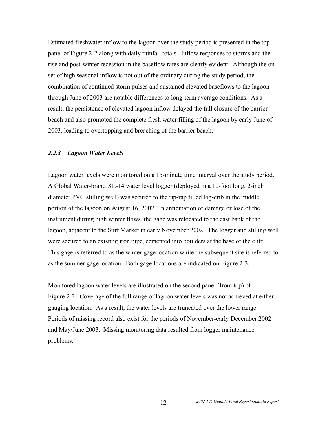Estimated freshwater inflow to the lagoon over the study period is presented in the top panel of Figure 2-2 along with daily rainfall totals. Inflow responses to storms and the rise and post-winter recession in the baseflow rates are clearly evident. Although the onset of high seasonal inflow is not out of the ordinary during the study period, the combination of continued storm pulses and sustained elevated baseflows to the lagoon through June of 2003 are notable differences to long-term average conditions. As a result, the persistence of elevated lagoon inflow delayed the full closure of the barrier beach and also promoted the complete fresh water filling of the lagoon by early June of 2003, leading to overtopping and breaching of the barrier beach.

#### *2.2.3 Lagoon Water Levels*

Lagoon water levels were monitored on a 15-minute time interval over the study period. A Global Water-brand XL-14 water level logger (deployed in a 10-foot long, 2-inch diameter PVC stilling well) was secured to the rip-rap filled log-crib in the middle portion of the lagoon on August 16, 2002. In anticipation of damage or lose of the instrument during high winter flows, the gage was relocated to the east bank of the lagoon, adjacent to the Surf Market in early November 2002. The logger and stilling well were secured to an existing iron pipe, cemented into boulders at the base of the cliff. This gage is referred to as the winter gage location while the subsequent site is referred to as the summer gage location. Both gage locations are indicated on Figure 2-3.

Monitored lagoon water levels are illustrated on the second panel (from top) of Figure 2-2. Coverage of the full range of lagoon water levels was not achieved at either gauging location. As a result, the water levels are truncated over the lower range. Periods of missing record also exist for the periods of November-early December 2002 and May/June 2003. Missing monitoring data resulted from logger maintenance problems.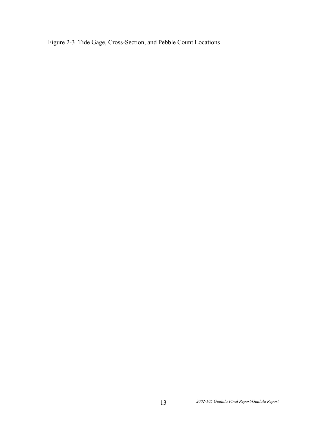Figure 2-3 Tide Gage, Cross-Section, and Pebble Count Locations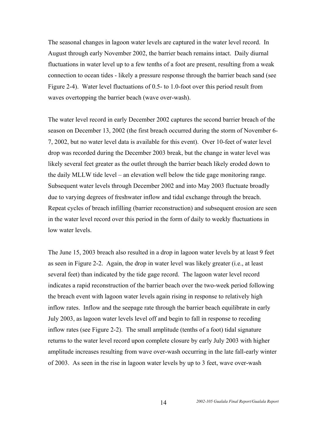The seasonal changes in lagoon water levels are captured in the water level record. In August through early November 2002, the barrier beach remains intact. Daily diurnal fluctuations in water level up to a few tenths of a foot are present, resulting from a weak connection to ocean tides - likely a pressure response through the barrier beach sand (see Figure 2-4). Water level fluctuations of 0.5- to 1.0-foot over this period result from waves overtopping the barrier beach (wave over-wash).

The water level record in early December 2002 captures the second barrier breach of the season on December 13, 2002 (the first breach occurred during the storm of November 6- 7, 2002, but no water level data is available for this event). Over 10-feet of water level drop was recorded during the December 2003 break, but the change in water level was likely several feet greater as the outlet through the barrier beach likely eroded down to the daily MLLW tide level – an elevation well below the tide gage monitoring range. Subsequent water levels through December 2002 and into May 2003 fluctuate broadly due to varying degrees of freshwater inflow and tidal exchange through the breach. Repeat cycles of breach infilling (barrier reconstruction) and subsequent erosion are seen in the water level record over this period in the form of daily to weekly fluctuations in low water levels.

The June 15, 2003 breach also resulted in a drop in lagoon water levels by at least 9 feet as seen in Figure 2-2. Again, the drop in water level was likely greater (i.e., at least several feet) than indicated by the tide gage record. The lagoon water level record indicates a rapid reconstruction of the barrier beach over the two-week period following the breach event with lagoon water levels again rising in response to relatively high inflow rates. Inflow and the seepage rate through the barrier beach equilibrate in early July 2003, as lagoon water levels level off and begin to fall in response to receding inflow rates (see Figure 2-2). The small amplitude (tenths of a foot) tidal signature returns to the water level record upon complete closure by early July 2003 with higher amplitude increases resulting from wave over-wash occurring in the late fall-early winter of 2003. As seen in the rise in lagoon water levels by up to 3 feet, wave over-wash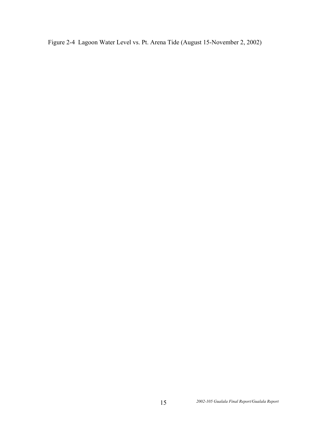Figure 2-4 Lagoon Water Level vs. Pt. Arena Tide (August 15-November 2, 2002)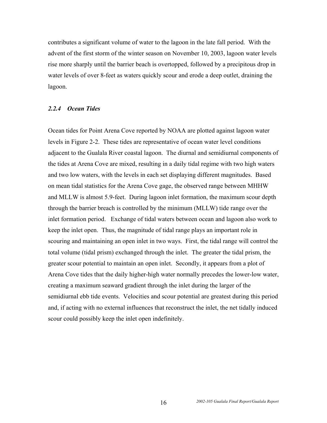contributes a significant volume of water to the lagoon in the late fall period. With the advent of the first storm of the winter season on November 10, 2003, lagoon water levels rise more sharply until the barrier beach is overtopped, followed by a precipitous drop in water levels of over 8-feet as waters quickly scour and erode a deep outlet, draining the lagoon.

#### *2.2.4 Ocean Tides*

Ocean tides for Point Arena Cove reported by NOAA are plotted against lagoon water levels in Figure 2-2. These tides are representative of ocean water level conditions adjacent to the Gualala River coastal lagoon. The diurnal and semidiurnal components of the tides at Arena Cove are mixed, resulting in a daily tidal regime with two high waters and two low waters, with the levels in each set displaying different magnitudes. Based on mean tidal statistics for the Arena Cove gage, the observed range between MHHW and MLLW is almost 5.9-feet. During lagoon inlet formation, the maximum scour depth through the barrier breach is controlled by the minimum (MLLW) tide range over the inlet formation period. Exchange of tidal waters between ocean and lagoon also work to keep the inlet open. Thus, the magnitude of tidal range plays an important role in scouring and maintaining an open inlet in two ways. First, the tidal range will control the total volume (tidal prism) exchanged through the inlet. The greater the tidal prism, the greater scour potential to maintain an open inlet. Secondly, it appears from a plot of Arena Cove tides that the daily higher-high water normally precedes the lower-low water, creating a maximum seaward gradient through the inlet during the larger of the semidiurnal ebb tide events. Velocities and scour potential are greatest during this period and, if acting with no external influences that reconstruct the inlet, the net tidally induced scour could possibly keep the inlet open indefinitely.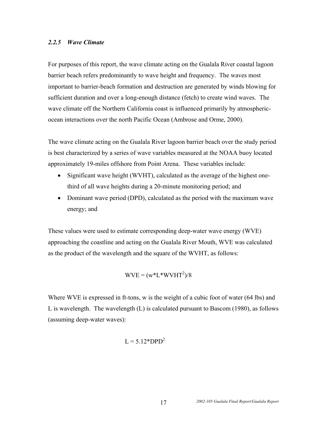#### *2.2.5 Wave Climate*

For purposes of this report, the wave climate acting on the Gualala River coastal lagoon barrier beach refers predominantly to wave height and frequency. The waves most important to barrier-beach formation and destruction are generated by winds blowing for sufficient duration and over a long-enough distance (fetch) to create wind waves. The wave climate off the Northern California coast is influenced primarily by atmosphericocean interactions over the north Pacific Ocean (Ambrose and Orme, 2000).

The wave climate acting on the Gualala River lagoon barrier beach over the study period is best characterized by a series of wave variables measured at the NOAA buoy located approximately 19-miles offshore from Point Arena. These variables include:

- Significant wave height (WVHT), calculated as the average of the highest onethird of all wave heights during a 20-minute monitoring period; and
- Dominant wave period (DPD), calculated as the period with the maximum wave energy; and

These values were used to estimate corresponding deep-water wave energy (WVE) approaching the coastline and acting on the Gualala River Mouth, WVE was calculated as the product of the wavelength and the square of the WVHT, as follows:

$$
WVE = (w^*L^*WVHT^2)/8
$$

Where WVE is expressed in ft-tons, w is the weight of a cubic foot of water (64 lbs) and L is wavelength. The wavelength (L) is calculated pursuant to Bascom (1980), as follows (assuming deep-water waves):

$$
L = 5.12*DPD^2
$$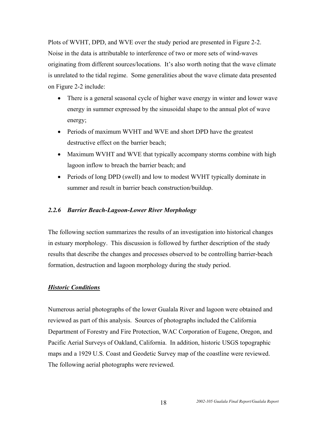Plots of WVHT, DPD, and WVE over the study period are presented in Figure 2-2. Noise in the data is attributable to interference of two or more sets of wind-waves originating from different sources/locations. It's also worth noting that the wave climate is unrelated to the tidal regime. Some generalities about the wave climate data presented on Figure 2-2 include:

- There is a general seasonal cycle of higher wave energy in winter and lower wave energy in summer expressed by the sinusoidal shape to the annual plot of wave energy;
- Periods of maximum WVHT and WVE and short DPD have the greatest destructive effect on the barrier beach;
- Maximum WVHT and WVE that typically accompany storms combine with high lagoon inflow to breach the barrier beach; and
- Periods of long DPD (swell) and low to modest WVHT typically dominate in summer and result in barrier beach construction/buildup.

#### *2.2.6 Barrier Beach-Lagoon-Lower River Morphology*

The following section summarizes the results of an investigation into historical changes in estuary morphology. This discussion is followed by further description of the study results that describe the changes and processes observed to be controlling barrier-beach formation, destruction and lagoon morphology during the study period.

#### *Historic Conditions*

Numerous aerial photographs of the lower Gualala River and lagoon were obtained and reviewed as part of this analysis. Sources of photographs included the California Department of Forestry and Fire Protection, WAC Corporation of Eugene, Oregon, and Pacific Aerial Surveys of Oakland, California. In addition, historic USGS topographic maps and a 1929 U.S. Coast and Geodetic Survey map of the coastline were reviewed. The following aerial photographs were reviewed.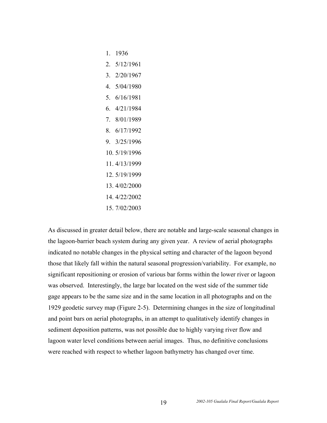- 1. 1936
- 2. 5/12/1961
- 3. 2/20/1967
- 4. 5/04/1980
- 5. 6/16/1981
- 6. 4/21/1984
- 7. 8/01/1989
- 8. 6/17/1992
- 9. 3/25/1996
- 10. 5/19/1996
- 11. 4/13/1999
- 12. 5/19/1999
- 13. 4/02/2000
- 14. 4/22/2002
- 15. 7/02/2003

As discussed in greater detail below, there are notable and large-scale seasonal changes in the lagoon-barrier beach system during any given year. A review of aerial photographs indicated no notable changes in the physical setting and character of the lagoon beyond those that likely fall within the natural seasonal progression/variability. For example, no significant repositioning or erosion of various bar forms within the lower river or lagoon was observed. Interestingly, the large bar located on the west side of the summer tide gage appears to be the same size and in the same location in all photographs and on the 1929 geodetic survey map (Figure 2-5). Determining changes in the size of longitudinal and point bars on aerial photographs, in an attempt to qualitatively identify changes in sediment deposition patterns, was not possible due to highly varying river flow and lagoon water level conditions between aerial images. Thus, no definitive conclusions were reached with respect to whether lagoon bathymetry has changed over time.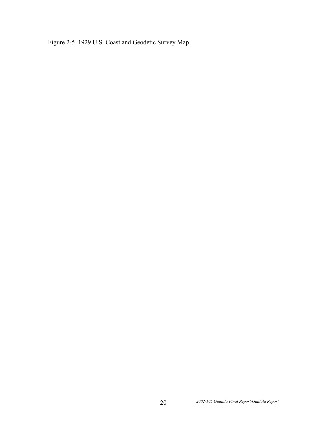Figure 2-5 1929 U.S. Coast and Geodetic Survey Map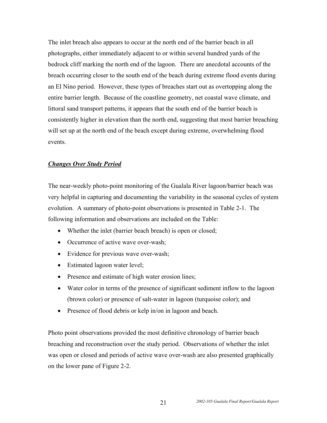The inlet breach also appears to occur at the north end of the barrier beach in all photographs, either immediately adjacent to or within several hundred yards of the bedrock cliff marking the north end of the lagoon. There are anecdotal accounts of the breach occurring closer to the south end of the beach during extreme flood events during an El Nino period. However, these types of breaches start out as overtopping along the entire barrier length. Because of the coastline geometry, net coastal wave climate, and littoral sand transport patterns, it appears that the south end of the barrier beach is consistently higher in elevation than the north end, suggesting that most barrier breaching will set up at the north end of the beach except during extreme, overwhelming flood events.

#### *Changes Over Study Period*

The near-weekly photo-point monitoring of the Gualala River lagoon/barrier beach was very helpful in capturing and documenting the variability in the seasonal cycles of system evolution. A summary of photo-point observations is presented in Table 2-1. The following information and observations are included on the Table:

- Whether the inlet (barrier beach breach) is open or closed;
- Occurrence of active wave over-wash;
- Evidence for previous wave over-wash;
- Estimated lagoon water level;
- Presence and estimate of high water erosion lines;
- Water color in terms of the presence of significant sediment inflow to the lagoon (brown color) or presence of salt-water in lagoon (turquoise color); and
- Presence of flood debris or kelp in/on in lagoon and beach.

Photo point observations provided the most definitive chronology of barrier beach breaching and reconstruction over the study period. Observations of whether the inlet was open or closed and periods of active wave over-wash are also presented graphically on the lower pane of Figure 2-2.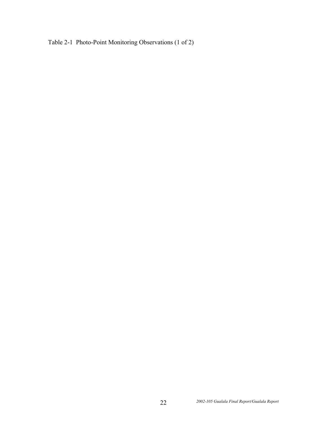Table 2-1 Photo-Point Monitoring Observations (1 of 2)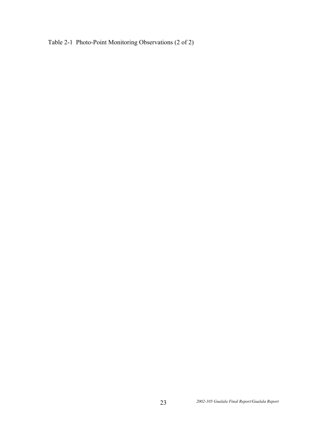Table 2-1 Photo-Point Monitoring Observations (2 of 2)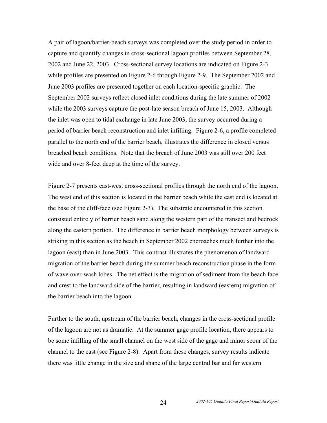A pair of lagoon/barrier-beach surveys was completed over the study period in order to capture and quantify changes in cross-sectional lagoon profiles between September 28, 2002 and June 22, 2003. Cross-sectional survey locations are indicated on Figure 2-3 while profiles are presented on Figure 2-6 through Figure 2-9. The September 2002 and June 2003 profiles are presented together on each location-specific graphic. The September 2002 surveys reflect closed inlet conditions during the late summer of 2002 while the 2003 surveys capture the post-late season breach of June 15, 2003. Although the inlet was open to tidal exchange in late June 2003, the survey occurred during a period of barrier beach reconstruction and inlet infilling. Figure 2-6, a profile completed parallel to the north end of the barrier beach, illustrates the difference in closed versus breached beach conditions. Note that the breach of June 2003 was still over 200 feet wide and over 8-feet deep at the time of the survey.

Figure 2-7 presents east-west cross-sectional profiles through the north end of the lagoon. The west end of this section is located in the barrier beach while the east end is located at the base of the cliff-face (see Figure 2-3). The substrate encountered in this section consisted entirely of barrier beach sand along the western part of the transect and bedrock along the eastern portion. The difference in barrier beach morphology between surveys is striking in this section as the beach in September 2002 encroaches much further into the lagoon (east) than in June 2003. This contrast illustrates the phenomenon of landward migration of the barrier beach during the summer beach reconstruction phase in the form of wave over-wash lobes. The net effect is the migration of sediment from the beach face and crest to the landward side of the barrier, resulting in landward (eastern) migration of the barrier beach into the lagoon.

Further to the south, upstream of the barrier beach, changes in the cross-sectional profile of the lagoon are not as dramatic. At the summer gage profile location, there appears to be some infilling of the small channel on the west side of the gage and minor scour of the channel to the east (see Figure 2-8). Apart from these changes, survey results indicate there was little change in the size and shape of the large central bar and far western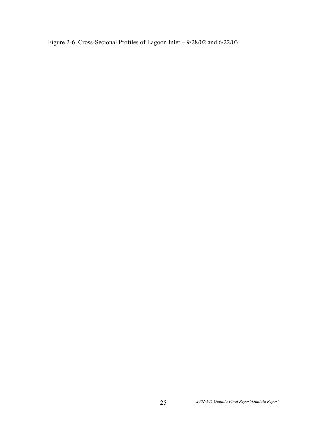Figure 2-6 Cross-Secional Profiles of Lagoon Inlet – 9/28/02 and 6/22/03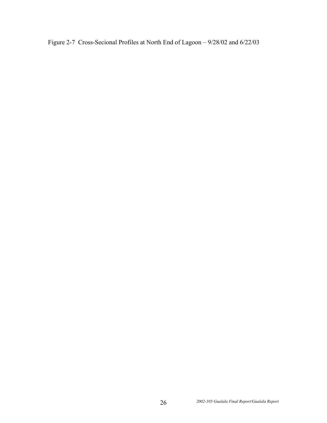Figure 2-7 Cross-Secional Profiles at North End of Lagoon – 9/28/02 and 6/22/03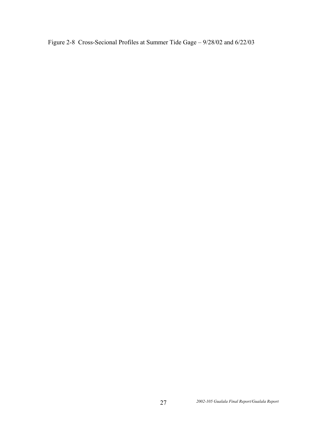Figure 2-8 Cross-Secional Profiles at Summer Tide Gage – 9/28/02 and 6/22/03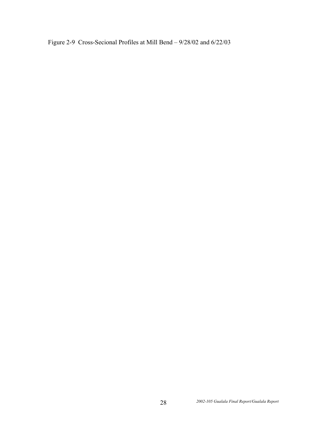Figure 2-9 Cross-Secional Profiles at Mill Bend – 9/28/02 and 6/22/03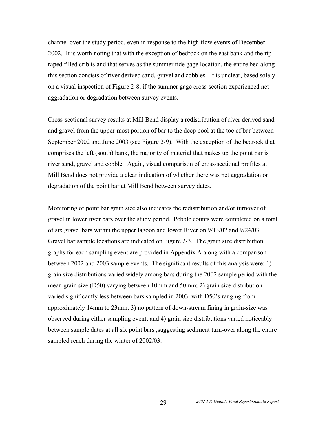channel over the study period, even in response to the high flow events of December 2002. It is worth noting that with the exception of bedrock on the east bank and the ripraped filled crib island that serves as the summer tide gage location, the entire bed along this section consists of river derived sand, gravel and cobbles. It is unclear, based solely on a visual inspection of Figure 2-8, if the summer gage cross-section experienced net aggradation or degradation between survey events.

Cross-sectional survey results at Mill Bend display a redistribution of river derived sand and gravel from the upper-most portion of bar to the deep pool at the toe of bar between September 2002 and June 2003 (see Figure 2-9). With the exception of the bedrock that comprises the left (south) bank, the majority of material that makes up the point bar is river sand, gravel and cobble. Again, visual comparison of cross-sectional profiles at Mill Bend does not provide a clear indication of whether there was net aggradation or degradation of the point bar at Mill Bend between survey dates.

Monitoring of point bar grain size also indicates the redistribution and/or turnover of gravel in lower river bars over the study period. Pebble counts were completed on a total of six gravel bars within the upper lagoon and lower River on 9/13/02 and 9/24/03. Gravel bar sample locations are indicated on Figure 2-3. The grain size distribution graphs for each sampling event are provided in Appendix A along with a comparison between 2002 and 2003 sample events. The significant results of this analysis were: 1) grain size distributions varied widely among bars during the 2002 sample period with the mean grain size (D50) varying between 10mm and 50mm; 2) grain size distribution varied significantly less between bars sampled in 2003, with D50's ranging from approximately 14mm to 23mm; 3) no pattern of down-stream fining in grain-size was observed during either sampling event; and 4) grain size distributions varied noticeably between sample dates at all six point bars ,suggesting sediment turn-over along the entire sampled reach during the winter of 2002/03.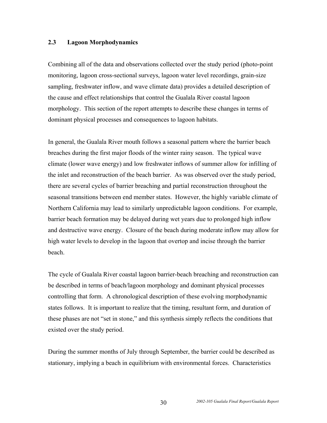#### **2.3 Lagoon Morphodynamics**

Combining all of the data and observations collected over the study period (photo-point monitoring, lagoon cross-sectional surveys, lagoon water level recordings, grain-size sampling, freshwater inflow, and wave climate data) provides a detailed description of the cause and effect relationships that control the Gualala River coastal lagoon morphology. This section of the report attempts to describe these changes in terms of dominant physical processes and consequences to lagoon habitats.

In general, the Gualala River mouth follows a seasonal pattern where the barrier beach breaches during the first major floods of the winter rainy season. The typical wave climate (lower wave energy) and low freshwater inflows of summer allow for infilling of the inlet and reconstruction of the beach barrier. As was observed over the study period, there are several cycles of barrier breaching and partial reconstruction throughout the seasonal transitions between end member states. However, the highly variable climate of Northern California may lead to similarly unpredictable lagoon conditions. For example, barrier beach formation may be delayed during wet years due to prolonged high inflow and destructive wave energy. Closure of the beach during moderate inflow may allow for high water levels to develop in the lagoon that overtop and incise through the barrier beach.

The cycle of Gualala River coastal lagoon barrier-beach breaching and reconstruction can be described in terms of beach/lagoon morphology and dominant physical processes controlling that form. A chronological description of these evolving morphodynamic states follows. It is important to realize that the timing, resultant form, and duration of these phases are not "set in stone," and this synthesis simply reflects the conditions that existed over the study period.

During the summer months of July through September, the barrier could be described as stationary, implying a beach in equilibrium with environmental forces. Characteristics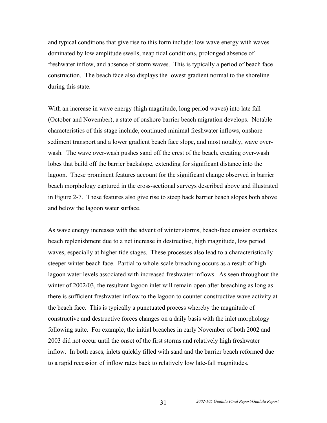and typical conditions that give rise to this form include: low wave energy with waves dominated by low amplitude swells, neap tidal conditions, prolonged absence of freshwater inflow, and absence of storm waves. This is typically a period of beach face construction. The beach face also displays the lowest gradient normal to the shoreline during this state.

With an increase in wave energy (high magnitude, long period waves) into late fall (October and November), a state of onshore barrier beach migration develops. Notable characteristics of this stage include, continued minimal freshwater inflows, onshore sediment transport and a lower gradient beach face slope, and most notably, wave overwash. The wave over-wash pushes sand off the crest of the beach, creating over-wash lobes that build off the barrier backslope, extending for significant distance into the lagoon. These prominent features account for the significant change observed in barrier beach morphology captured in the cross-sectional surveys described above and illustrated in Figure 2-7. These features also give rise to steep back barrier beach slopes both above and below the lagoon water surface.

As wave energy increases with the advent of winter storms, beach-face erosion overtakes beach replenishment due to a net increase in destructive, high magnitude, low period waves, especially at higher tide stages. These processes also lead to a characteristically steeper winter beach face. Partial to whole-scale breaching occurs as a result of high lagoon water levels associated with increased freshwater inflows. As seen throughout the winter of 2002/03, the resultant lagoon inlet will remain open after breaching as long as there is sufficient freshwater inflow to the lagoon to counter constructive wave activity at the beach face. This is typically a punctuated process whereby the magnitude of constructive and destructive forces changes on a daily basis with the inlet morphology following suite. For example, the initial breaches in early November of both 2002 and 2003 did not occur until the onset of the first storms and relatively high freshwater inflow. In both cases, inlets quickly filled with sand and the barrier beach reformed due to a rapid recession of inflow rates back to relatively low late-fall magnitudes.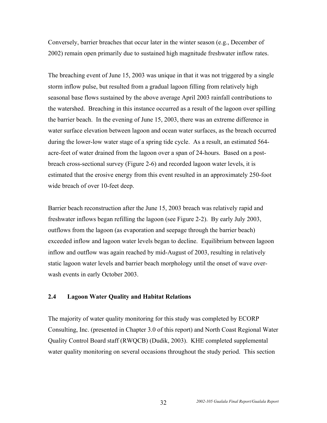Conversely, barrier breaches that occur later in the winter season (e.g., December of 2002) remain open primarily due to sustained high magnitude freshwater inflow rates.

The breaching event of June 15, 2003 was unique in that it was not triggered by a single storm inflow pulse, but resulted from a gradual lagoon filling from relatively high seasonal base flows sustained by the above average April 2003 rainfall contributions to the watershed. Breaching in this instance occurred as a result of the lagoon over spilling the barrier beach. In the evening of June 15, 2003, there was an extreme difference in water surface elevation between lagoon and ocean water surfaces, as the breach occurred during the lower-low water stage of a spring tide cycle. As a result, an estimated 564 acre-feet of water drained from the lagoon over a span of 24-hours. Based on a postbreach cross-sectional survey (Figure 2-6) and recorded lagoon water levels, it is estimated that the erosive energy from this event resulted in an approximately 250-foot wide breach of over 10-feet deep.

Barrier beach reconstruction after the June 15, 2003 breach was relatively rapid and freshwater inflows began refilling the lagoon (see Figure 2-2). By early July 2003, outflows from the lagoon (as evaporation and seepage through the barrier beach) exceeded inflow and lagoon water levels began to decline. Equilibrium between lagoon inflow and outflow was again reached by mid-August of 2003, resulting in relatively static lagoon water levels and barrier beach morphology until the onset of wave overwash events in early October 2003.

## **2.4 Lagoon Water Quality and Habitat Relations**

The majority of water quality monitoring for this study was completed by ECORP Consulting, Inc. (presented in Chapter 3.0 of this report) and North Coast Regional Water Quality Control Board staff (RWQCB) (Dudik, 2003). KHE completed supplemental water quality monitoring on several occasions throughout the study period. This section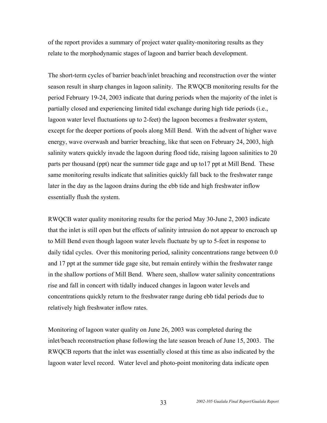of the report provides a summary of project water quality-monitoring results as they relate to the morphodynamic stages of lagoon and barrier beach development.

The short-term cycles of barrier beach/inlet breaching and reconstruction over the winter season result in sharp changes in lagoon salinity. The RWQCB monitoring results for the period February 19-24, 2003 indicate that during periods when the majority of the inlet is partially closed and experiencing limited tidal exchange during high tide periods (i.e., lagoon water level fluctuations up to 2-feet) the lagoon becomes a freshwater system, except for the deeper portions of pools along Mill Bend. With the advent of higher wave energy, wave overwash and barrier breaching, like that seen on February 24, 2003, high salinity waters quickly invade the lagoon during flood tide, raising lagoon salinities to 20 parts per thousand (ppt) near the summer tide gage and up to17 ppt at Mill Bend. These same monitoring results indicate that salinities quickly fall back to the freshwater range later in the day as the lagoon drains during the ebb tide and high freshwater inflow essentially flush the system.

RWQCB water quality monitoring results for the period May 30-June 2, 2003 indicate that the inlet is still open but the effects of salinity intrusion do not appear to encroach up to Mill Bend even though lagoon water levels fluctuate by up to 5-feet in response to daily tidal cycles. Over this monitoring period, salinity concentrations range between 0.0 and 17 ppt at the summer tide gage site, but remain entirely within the freshwater range in the shallow portions of Mill Bend. Where seen, shallow water salinity concentrations rise and fall in concert with tidally induced changes in lagoon water levels and concentrations quickly return to the freshwater range during ebb tidal periods due to relatively high freshwater inflow rates.

Monitoring of lagoon water quality on June 26, 2003 was completed during the inlet/beach reconstruction phase following the late season breach of June 15, 2003. The RWQCB reports that the inlet was essentially closed at this time as also indicated by the lagoon water level record. Water level and photo-point monitoring data indicate open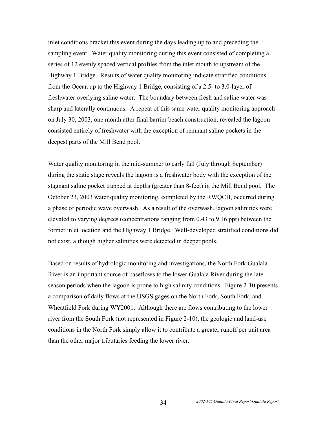inlet conditions bracket this event during the days leading up to and preceding the sampling event. Water quality monitoring during this event consisted of completing a series of 12 evenly spaced vertical profiles from the inlet mouth to upstream of the Highway 1 Bridge. Results of water quality monitoring indicate stratified conditions from the Ocean up to the Highway 1 Bridge, consisting of a 2.5- to 3.0-layer of freshwater overlying saline water. The boundary between fresh and saline water was sharp and laterally continuous. A repeat of this same water quality monitoring approach on July 30, 2003, one month after final barrier beach construction, revealed the lagoon consisted entirely of freshwater with the exception of remnant saline pockets in the deepest parts of the Mill Bend pool.

Water quality monitoring in the mid-summer to early fall (July through September) during the static stage reveals the lagoon is a freshwater body with the exception of the stagnant saline pocket trapped at depths (greater than 8-feet) in the Mill Bend pool. The October 23, 2003 water quality monitoring, completed by the RWQCB, occurred during a phase of periodic wave overwash. As a result of the overwash, lagoon salinities were elevated to varying degrees (concentrations ranging from 0.43 to 9.16 ppt) between the former inlet location and the Highway 1 Bridge. Well-developed stratified conditions did not exist, although higher salinities were detected in deeper pools.

Based on results of hydrologic monitoring and investigations, the North Fork Gualala River is an important source of baseflows to the lower Gualala River during the late season periods when the lagoon is prone to high salinity conditions. Figure 2-10 presents a comparison of daily flows at the USGS gages on the North Fork, South Fork, and Wheatfield Fork during WY2001. Although there are flows contributing to the lower river from the South Fork (not represented in Figure 2-10), the geologic and land-use conditions in the North Fork simply allow it to contribute a greater runoff per unit area than the other major tributaries feeding the lower river.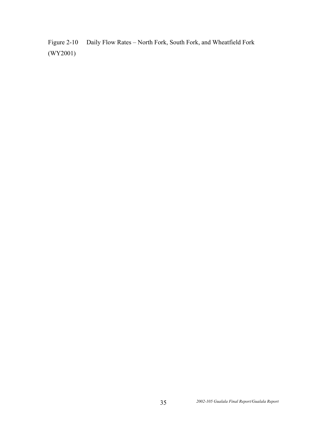Figure 2-10 Daily Flow Rates – North Fork, South Fork, and Wheatfield Fork (WY2001)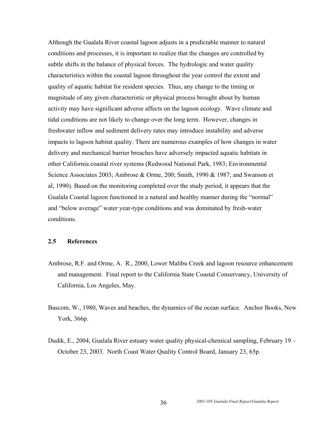Although the Gualala River coastal lagoon adjusts in a predictable manner to natural conditions and processes, it is important to realize that the changes are controlled by subtle shifts in the balance of physical forces. The hydrologic and water quality characteristics within the coastal lagoon throughout the year control the extent and quality of aquatic habitat for resident species. Thus, any change to the timing or magnitude of any given characteristic or physical process brought about by human activity may have significant adverse affects on the lagoon ecology. Wave climate and tidal conditions are not likely to change over the long term. However, changes in freshwater inflow and sediment delivery rates may introduce instability and adverse impacts to lagoon habitat quality. There are numerous examples of how changes in water delivery and mechanical barrier breaches have adversely impacted aquatic habitats in other California coastal river systems (Redwood National Park, 1983; Environmental Science Associates 2003; Ambrose & Orme, 200; Smith, 1990 & 1987; and Swanson et al, 1990). Based on the monitoring completed over the study period, it appears that the Gualala Coastal lagoon functioned in a natural and healthy manner during the "normal" and "below average" water year-type conditions and was dominated by fresh-water conditions.

## **2.5 References**

- Ambrose, R.F. and Orme, A. R., 2000, Lower Malibu Creek and lagoon resource enhancement and management. Final report to the California State Coastal Conservancy, University of California, Los Angeles, May.
- Bascom, W., 1980, Waves and beaches, the dynamics of the ocean surface. Anchor Books, New York, 366p.
- Dudik, E., 2004, Gualala River estuary water quality physical-chemical sampling, February 19 October 23, 2003. North Coast Water Quality Control Board, January 23, 65p.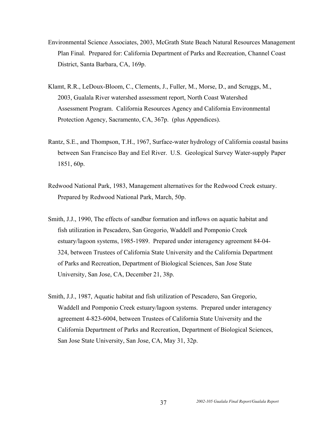- Environmental Science Associates, 2003, McGrath State Beach Natural Resources Management Plan Final. Prepared for: California Department of Parks and Recreation, Channel Coast District, Santa Barbara, CA, 169p.
- Klamt, R.R., LeDoux-Bloom, C., Clements, J., Fuller, M., Morse, D., and Scruggs, M., 2003, Gualala River watershed assessment report, North Coast Watershed Assessment Program. California Resources Agency and California Environmental Protection Agency, Sacramento, CA, 367p. (plus Appendices).
- Rantz, S.E., and Thompson, T.H., 1967, Surface-water hydrology of California coastal basins between San Francisco Bay and Eel River. U.S. Geological Survey Water-supply Paper 1851, 60p.
- Redwood National Park, 1983, Management alternatives for the Redwood Creek estuary. Prepared by Redwood National Park, March, 50p.
- Smith, J.J., 1990, The effects of sandbar formation and inflows on aquatic habitat and fish utilization in Pescadero, San Gregorio, Waddell and Pomponio Creek estuary/lagoon systems, 1985-1989. Prepared under interagency agreement 84-04- 324, between Trustees of California State University and the California Department of Parks and Recreation, Department of Biological Sciences, San Jose State University, San Jose, CA, December 21, 38p.
- Smith, J.J., 1987, Aquatic habitat and fish utilization of Pescadero, San Gregorio, Waddell and Pomponio Creek estuary/lagoon systems. Prepared under interagency agreement 4-823-6004, between Trustees of California State University and the California Department of Parks and Recreation, Department of Biological Sciences, San Jose State University, San Jose, CA, May 31, 32p.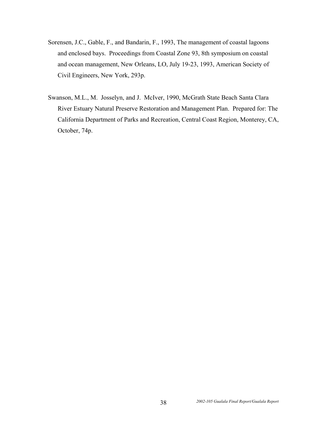- Sorensen, J.C., Gable, F., and Bandarin, F., 1993, The management of coastal lagoons and enclosed bays. Proceedings from Coastal Zone 93, 8th symposium on coastal and ocean management, New Orleans, LO, July 19-23, 1993, American Society of Civil Engineers, New York, 293p.
- Swanson, M.L., M. Josselyn, and J. McIver, 1990, McGrath State Beach Santa Clara River Estuary Natural Preserve Restoration and Management Plan. Prepared for: The California Department of Parks and Recreation, Central Coast Region, Monterey, CA, October, 74p.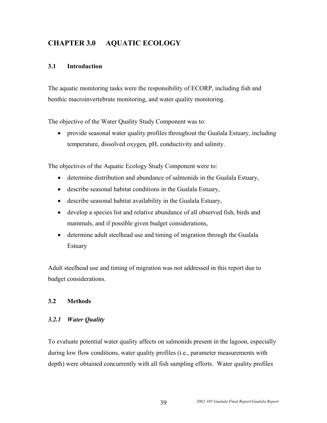## **CHAPTER 3.0 AQUATIC ECOLOGY**

## **3.1 Introduction**

The aquatic monitoring tasks were the responsibility of ECORP, including fish and benthic macroinvertebrate monitoring, and water quality monitoring.

The objective of the Water Quality Study Component was to:

• provide seasonal water quality profiles throughout the Gualala Estuary, including temperature, dissolved oxygen, pH, conductivity and salinity.

The objectives of the Aquatic Ecology Study Component were to:

- determine distribution and abundance of salmonids in the Gualala Estuary,
- describe seasonal habitat conditions in the Gualala Estuary,
- describe seasonal habitat availability in the Gualala Estuary,
- develop a species list and relative abundance of all observed fish, birds and mammals, and if possible given budget considerations,
- determine adult steelhead use and timing of migration through the Gualala Estuary

Adult steelhead use and timing of migration was not addressed in this report due to budget considerations.

## **3.2 Methods**

## *3.2.1 Water Quality*

To evaluate potential water quality affects on salmonids present in the lagoon, especially during low flow conditions, water quality profiles (i.e., parameter measurements with depth) were obtained concurrently with all fish sampling efforts. Water quality profiles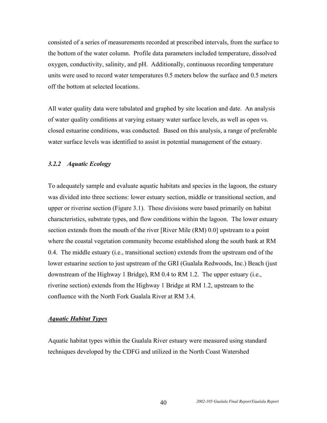consisted of a series of measurements recorded at prescribed intervals, from the surface to the bottom of the water column. Profile data parameters included temperature, dissolved oxygen, conductivity, salinity, and pH. Additionally, continuous recording temperature units were used to record water temperatures 0.5 meters below the surface and 0.5 meters off the bottom at selected locations.

All water quality data were tabulated and graphed by site location and date. An analysis of water quality conditions at varying estuary water surface levels, as well as open vs. closed estuarine conditions, was conducted. Based on this analysis, a range of preferable water surface levels was identified to assist in potential management of the estuary.

### *3.2.2 Aquatic Ecology*

To adequately sample and evaluate aquatic habitats and species in the lagoon, the estuary was divided into three sections: lower estuary section, middle or transitional section, and upper or riverine section (Figure 3.1). These divisions were based primarily on habitat characteristics, substrate types, and flow conditions within the lagoon. The lower estuary section extends from the mouth of the river [River Mile (RM) 0.0] upstream to a point where the coastal vegetation community become established along the south bank at RM 0.4. The middle estuary (i.e., transitional section) extends from the upstream end of the lower estuarine section to just upstream of the GRI (Gualala Redwoods, Inc.) Beach (just downstream of the Highway 1 Bridge), RM 0.4 to RM 1.2. The upper estuary (i.e., riverine section) extends from the Highway 1 Bridge at RM 1.2, upstream to the confluence with the North Fork Gualala River at RM 3.4.

#### *Aquatic Habitat Types*

Aquatic habitat types within the Gualala River estuary were measured using standard techniques developed by the CDFG and utilized in the North Coast Watershed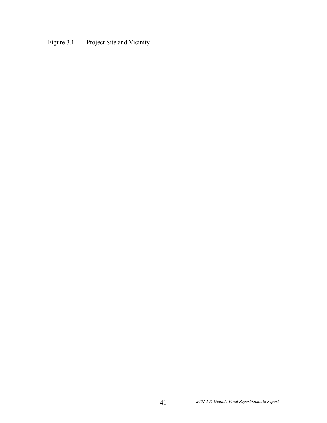# Figure 3.1 Project Site and Vicinity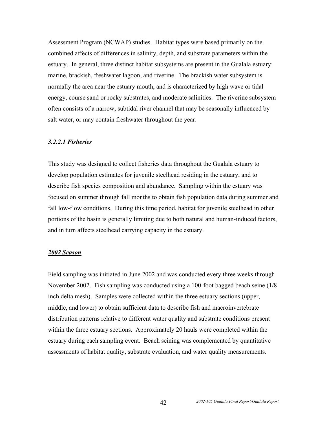Assessment Program (NCWAP) studies. Habitat types were based primarily on the combined affects of differences in salinity, depth, and substrate parameters within the estuary. In general, three distinct habitat subsystems are present in the Gualala estuary: marine, brackish, freshwater lagoon, and riverine. The brackish water subsystem is normally the area near the estuary mouth, and is characterized by high wave or tidal energy, course sand or rocky substrates, and moderate salinities. The riverine subsystem often consists of a narrow, subtidal river channel that may be seasonally influenced by salt water, or may contain freshwater throughout the year.

#### *3.2.2.1 Fisheries*

This study was designed to collect fisheries data throughout the Gualala estuary to develop population estimates for juvenile steelhead residing in the estuary, and to describe fish species composition and abundance. Sampling within the estuary was focused on summer through fall months to obtain fish population data during summer and fall low-flow conditions. During this time period, habitat for juvenile steelhead in other portions of the basin is generally limiting due to both natural and human-induced factors, and in turn affects steelhead carrying capacity in the estuary.

#### *2002 Season*

Field sampling was initiated in June 2002 and was conducted every three weeks through November 2002. Fish sampling was conducted using a 100-foot bagged beach seine (1/8 inch delta mesh). Samples were collected within the three estuary sections (upper, middle, and lower) to obtain sufficient data to describe fish and macroinvertebrate distribution patterns relative to different water quality and substrate conditions present within the three estuary sections. Approximately 20 hauls were completed within the estuary during each sampling event. Beach seining was complemented by quantitative assessments of habitat quality, substrate evaluation, and water quality measurements.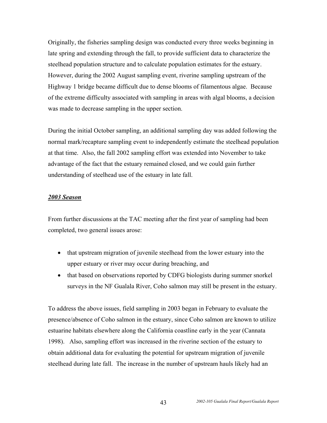Originally, the fisheries sampling design was conducted every three weeks beginning in late spring and extending through the fall, to provide sufficient data to characterize the steelhead population structure and to calculate population estimates for the estuary. However, during the 2002 August sampling event, riverine sampling upstream of the Highway 1 bridge became difficult due to dense blooms of filamentous algae. Because of the extreme difficulty associated with sampling in areas with algal blooms, a decision was made to decrease sampling in the upper section.

During the initial October sampling, an additional sampling day was added following the normal mark/recapture sampling event to independently estimate the steelhead population at that time. Also, the fall 2002 sampling effort was extended into November to take advantage of the fact that the estuary remained closed, and we could gain further understanding of steelhead use of the estuary in late fall.

#### *2003 Season*

From further discussions at the TAC meeting after the first year of sampling had been completed, two general issues arose:

- that upstream migration of juvenile steelhead from the lower estuary into the upper estuary or river may occur during breaching, and
- that based on observations reported by CDFG biologists during summer snorkel surveys in the NF Gualala River, Coho salmon may still be present in the estuary.

To address the above issues, field sampling in 2003 began in February to evaluate the presence/absence of Coho salmon in the estuary, since Coho salmon are known to utilize estuarine habitats elsewhere along the California coastline early in the year (Cannata 1998). Also, sampling effort was increased in the riverine section of the estuary to obtain additional data for evaluating the potential for upstream migration of juvenile steelhead during late fall. The increase in the number of upstream hauls likely had an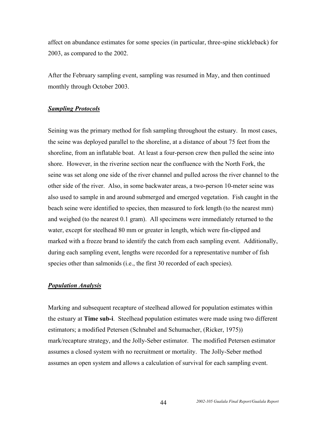affect on abundance estimates for some species (in particular, three-spine stickleback) for 2003, as compared to the 2002.

After the February sampling event, sampling was resumed in May, and then continued monthly through October 2003.

#### *Sampling Protocols*

Seining was the primary method for fish sampling throughout the estuary. In most cases, the seine was deployed parallel to the shoreline, at a distance of about 75 feet from the shoreline, from an inflatable boat. At least a four-person crew then pulled the seine into shore. However, in the riverine section near the confluence with the North Fork, the seine was set along one side of the river channel and pulled across the river channel to the other side of the river. Also, in some backwater areas, a two-person 10-meter seine was also used to sample in and around submerged and emerged vegetation. Fish caught in the beach seine were identified to species, then measured to fork length (to the nearest mm) and weighed (to the nearest 0.1 gram). All specimens were immediately returned to the water, except for steelhead 80 mm or greater in length, which were fin-clipped and marked with a freeze brand to identify the catch from each sampling event. Additionally, during each sampling event, lengths were recorded for a representative number of fish species other than salmonids (i.e., the first 30 recorded of each species).

#### *Population Analysis*

Marking and subsequent recapture of steelhead allowed for population estimates within the estuary at **Time sub-i**. Steelhead population estimates were made using two different estimators; a modified Petersen (Schnabel and Schumacher, (Ricker, 1975)) mark/recapture strategy, and the Jolly-Seber estimator. The modified Petersen estimator assumes a closed system with no recruitment or mortality. The Jolly-Seber method assumes an open system and allows a calculation of survival for each sampling event.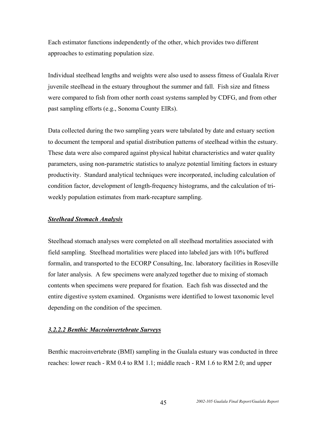Each estimator functions independently of the other, which provides two different approaches to estimating population size.

Individual steelhead lengths and weights were also used to assess fitness of Gualala River juvenile steelhead in the estuary throughout the summer and fall. Fish size and fitness were compared to fish from other north coast systems sampled by CDFG, and from other past sampling efforts (e.g., Sonoma County EIRs).

Data collected during the two sampling years were tabulated by date and estuary section to document the temporal and spatial distribution patterns of steelhead within the estuary. These data were also compared against physical habitat characteristics and water quality parameters, using non-parametric statistics to analyze potential limiting factors in estuary productivity. Standard analytical techniques were incorporated, including calculation of condition factor, development of length-frequency histograms, and the calculation of triweekly population estimates from mark-recapture sampling.

#### *Steelhead Stomach Analysis*

Steelhead stomach analyses were completed on all steelhead mortalities associated with field sampling. Steelhead mortalities were placed into labeled jars with 10% buffered formalin, and transported to the ECORP Consulting, Inc. laboratory facilities in Roseville for later analysis. A few specimens were analyzed together due to mixing of stomach contents when specimens were prepared for fixation. Each fish was dissected and the entire digestive system examined. Organisms were identified to lowest taxonomic level depending on the condition of the specimen.

#### *3.2.2.2 Benthic Macroinvertebrate Surveys*

Benthic macroinvertebrate (BMI) sampling in the Gualala estuary was conducted in three reaches: lower reach - RM 0.4 to RM 1.1; middle reach - RM 1.6 to RM 2.0; and upper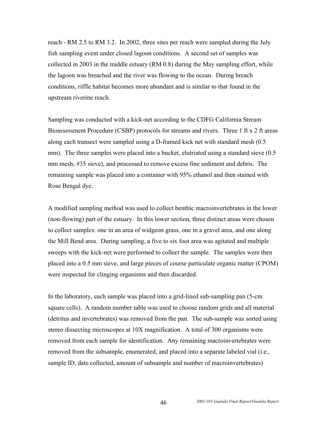reach - RM 2.5 to RM 3.2. In 2002, three sites per reach were sampled during the July fish sampling event under closed lagoon conditions. A second set of samples was collected in 2003 in the middle estuary (RM 0.8) during the May sampling effort, while the lagoon was breached and the river was flowing to the ocean. During breach conditions, riffle habitat becomes more abundant and is similar to that found in the upstream riverine reach.

Sampling was conducted with a kick-net according to the CDFG California Stream Bioassessment Procedure (CSBP) protocols for streams and rivers. Three 1 ft x 2 ft areas along each transect were sampled using a D-framed kick net with standard mesh (0.5 mm). The three samples were placed into a bucket, elutriated using a standard sieve (0.5) mm mesh; #35 sieve), and processed to remove excess fine sediment and debris. The remaining sample was placed into a container with 95% ethanol and then stained with Rose Bengal dye.

A modified sampling method was used to collect benthic macroinvertebrates in the lower (non-flowing) part of the estuary. In this lower section, three distinct areas were chosen to collect samples: one in an area of widgeon grass, one in a gravel area, and one along the Mill Bend area. During sampling, a five to six foot area was agitated and multiple sweeps with the kick-net were performed to collect the sample. The samples were then placed into a 0.5 mm sieve, and large pieces of course particulate organic matter (CPOM) were inspected for clinging organisms and then discarded.

In the laboratory, each sample was placed into a grid-lined sub-sampling pan (5-cm square cells). A random number table was used to choose random grids and all material (detritus and invertebrates) was removed from the pan. The sub-sample was sorted using stereo dissecting microscopes at 10X magnification. A total of 300 organisms were removed from each sample for identification. Any remaining macroinvertebrates were removed from the subsample, enumerated, and placed into a separate labeled vial (i.e., sample ID, date collected, amount of subsample and number of macroinvertebrates)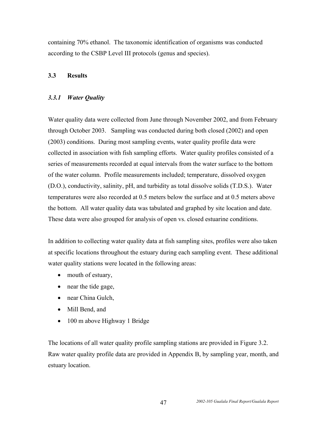containing 70% ethanol. The taxonomic identification of organisms was conducted according to the CSBP Level III protocols (genus and species).

## **3.3 Results**

## *3.3.1 Water Quality*

Water quality data were collected from June through November 2002, and from February through October 2003. Sampling was conducted during both closed (2002) and open (2003) conditions. During most sampling events, water quality profile data were collected in association with fish sampling efforts. Water quality profiles consisted of a series of measurements recorded at equal intervals from the water surface to the bottom of the water column. Profile measurements included; temperature, dissolved oxygen (D.O.), conductivity, salinity, pH, and turbidity as total dissolve solids (T.D.S.). Water temperatures were also recorded at 0.5 meters below the surface and at 0.5 meters above the bottom. All water quality data was tabulated and graphed by site location and date. These data were also grouped for analysis of open vs. closed estuarine conditions.

In addition to collecting water quality data at fish sampling sites, profiles were also taken at specific locations throughout the estuary during each sampling event. These additional water quality stations were located in the following areas:

- mouth of estuary,
- near the tide gage,
- near China Gulch,
- Mill Bend, and
- 100 m above Highway 1 Bridge

The locations of all water quality profile sampling stations are provided in Figure 3.2. Raw water quality profile data are provided in Appendix B, by sampling year, month, and estuary location.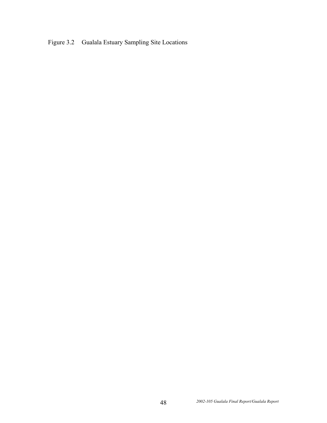Figure 3.2 Gualala Estuary Sampling Site Locations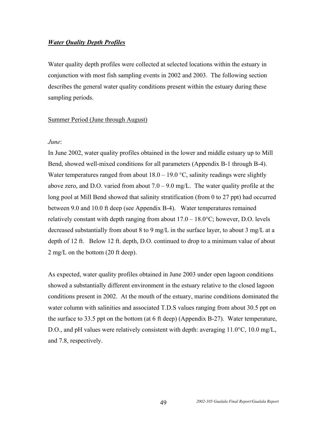#### *Water Quality Depth Profiles*

Water quality depth profiles were collected at selected locations within the estuary in conjunction with most fish sampling events in 2002 and 2003. The following section describes the general water quality conditions present within the estuary during these sampling periods.

#### Summer Period (June through August)

#### *June*:

In June 2002, water quality profiles obtained in the lower and middle estuary up to Mill Bend, showed well-mixed conditions for all parameters (Appendix B-1 through B-4). Water temperatures ranged from about  $18.0 - 19.0$  °C, salinity readings were slightly above zero, and D.O. varied from about  $7.0 - 9.0$  mg/L. The water quality profile at the long pool at Mill Bend showed that salinity stratification (from 0 to 27 ppt) had occurred between 9.0 and 10.0 ft deep (see Appendix B-4). Water temperatures remained relatively constant with depth ranging from about  $17.0 - 18.0$ °C; however, D.O. levels decreased substantially from about 8 to 9 mg/L in the surface layer, to about 3 mg/L at a depth of 12 ft. Below 12 ft. depth, D.O. continued to drop to a minimum value of about 2 mg/L on the bottom (20 ft deep).

As expected, water quality profiles obtained in June 2003 under open lagoon conditions showed a substantially different environment in the estuary relative to the closed lagoon conditions present in 2002. At the mouth of the estuary, marine conditions dominated the water column with salinities and associated T.D.S values ranging from about 30.5 ppt on the surface to 33.5 ppt on the bottom (at 6 ft deep) (Appendix B-27). Water temperature, D.O., and pH values were relatively consistent with depth: averaging 11.0<sup>o</sup>C, 10.0 mg/L, and 7.8, respectively.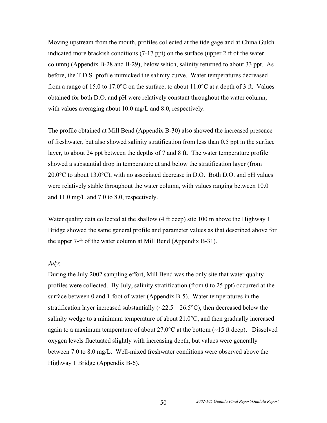Moving upstream from the mouth, profiles collected at the tide gage and at China Gulch indicated more brackish conditions (7-17 ppt) on the surface (upper 2 ft of the water column) (Appendix B-28 and B-29), below which, salinity returned to about 33 ppt. As before, the T.D.S. profile mimicked the salinity curve. Water temperatures decreased from a range of 15.0 to 17.0 °C on the surface, to about  $11.0$  °C at a depth of 3 ft. Values obtained for both D.O. and pH were relatively constant throughout the water column, with values averaging about 10.0 mg/L and 8.0, respectively.

The profile obtained at Mill Bend (Appendix B-30) also showed the increased presence of freshwater, but also showed salinity stratification from less than 0.5 ppt in the surface layer, to about 24 ppt between the depths of 7 and 8 ft. The water temperature profile showed a substantial drop in temperature at and below the stratification layer (from 20.0°C to about 13.0°C), with no associated decrease in D.O. Both D.O. and pH values were relatively stable throughout the water column, with values ranging between 10.0 and 11.0 mg/L and 7.0 to 8.0, respectively.

Water quality data collected at the shallow (4 ft deep) site 100 m above the Highway 1 Bridge showed the same general profile and parameter values as that described above for the upper 7-ft of the water column at Mill Bend (Appendix B-31).

#### *July*:

During the July 2002 sampling effort, Mill Bend was the only site that water quality profiles were collected. By July, salinity stratification (from 0 to 25 ppt) occurred at the surface between 0 and 1-foot of water (Appendix B-5). Water temperatures in the stratification layer increased substantially ( $\sim$ 22.5 – 26.5°C), then decreased below the salinity wedge to a minimum temperature of about  $21.0^{\circ}$ C, and then gradually increased again to a maximum temperature of about  $27.0^{\circ}$ C at the bottom ( $\sim$ 15 ft deep). Dissolved oxygen levels fluctuated slightly with increasing depth, but values were generally between 7.0 to 8.0 mg/L. Well-mixed freshwater conditions were observed above the Highway 1 Bridge (Appendix B-6).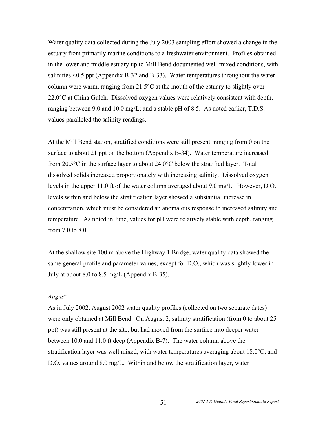Water quality data collected during the July 2003 sampling effort showed a change in the estuary from primarily marine conditions to a freshwater environment. Profiles obtained in the lower and middle estuary up to Mill Bend documented well-mixed conditions, with salinities <0.5 ppt (Appendix B-32 and B-33). Water temperatures throughout the water column were warm, ranging from 21.5°C at the mouth of the estuary to slightly over 22.0°C at China Gulch. Dissolved oxygen values were relatively consistent with depth, ranging between 9.0 and 10.0 mg/L; and a stable pH of 8.5. As noted earlier, T.D.S. values paralleled the salinity readings.

At the Mill Bend station, stratified conditions were still present, ranging from 0 on the surface to about 21 ppt on the bottom (Appendix B-34). Water temperature increased from 20.5°C in the surface layer to about 24.0°C below the stratified layer. Total dissolved solids increased proportionately with increasing salinity. Dissolved oxygen levels in the upper 11.0 ft of the water column averaged about 9.0 mg/L. However, D.O. levels within and below the stratification layer showed a substantial increase in concentration, which must be considered an anomalous response to increased salinity and temperature. As noted in June, values for pH were relatively stable with depth, ranging from  $7.0$  to  $8.0$ .

At the shallow site 100 m above the Highway 1 Bridge, water quality data showed the same general profile and parameter values, except for D.O., which was slightly lower in July at about 8.0 to 8.5 mg/L (Appendix B-35).

#### *Augus*t:

As in July 2002, August 2002 water quality profiles (collected on two separate dates) were only obtained at Mill Bend. On August 2, salinity stratification (from 0 to about 25 ppt) was still present at the site, but had moved from the surface into deeper water between 10.0 and 11.0 ft deep (Appendix B-7). The water column above the stratification layer was well mixed, with water temperatures averaging about 18.0°C, and D.O. values around 8.0 mg/L. Within and below the stratification layer, water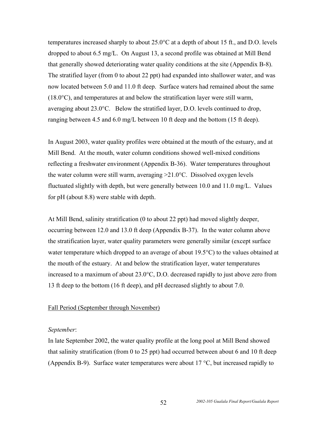temperatures increased sharply to about 25.0°C at a depth of about 15 ft., and D.O. levels dropped to about 6.5 mg/L. On August 13, a second profile was obtained at Mill Bend that generally showed deteriorating water quality conditions at the site (Appendix B-8). The stratified layer (from 0 to about 22 ppt) had expanded into shallower water, and was now located between 5.0 and 11.0 ft deep. Surface waters had remained about the same  $(18.0^{\circ}C)$ , and temperatures at and below the stratification layer were still warm, averaging about 23.0°C. Below the stratified layer, D.O. levels continued to drop, ranging between 4.5 and 6.0 mg/L between 10 ft deep and the bottom (15 ft deep).

In August 2003, water quality profiles were obtained at the mouth of the estuary, and at Mill Bend. At the mouth, water column conditions showed well-mixed conditions reflecting a freshwater environment (Appendix B-36). Water temperatures throughout the water column were still warm, averaging >21.0°C. Dissolved oxygen levels fluctuated slightly with depth, but were generally between 10.0 and 11.0 mg/L. Values for pH (about 8.8) were stable with depth.

At Mill Bend, salinity stratification (0 to about 22 ppt) had moved slightly deeper, occurring between 12.0 and 13.0 ft deep (Appendix B-37). In the water column above the stratification layer, water quality parameters were generally similar (except surface water temperature which dropped to an average of about 19.5<sup>o</sup>C) to the values obtained at the mouth of the estuary. At and below the stratification layer, water temperatures increased to a maximum of about 23.0°C, D.O. decreased rapidly to just above zero from 13 ft deep to the bottom (16 ft deep), and pH decreased slightly to about 7.0.

#### Fall Period (September through November)

#### *September*:

In late September 2002, the water quality profile at the long pool at Mill Bend showed that salinity stratification (from 0 to 25 ppt) had occurred between about 6 and 10 ft deep (Appendix B-9). Surface water temperatures were about 17 °C, but increased rapidly to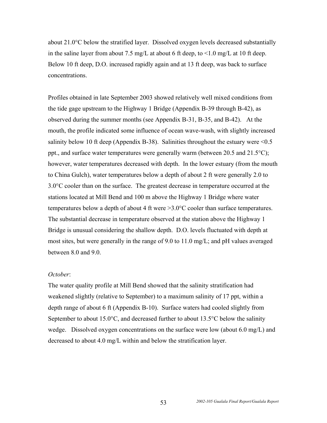about 21.0°C below the stratified layer. Dissolved oxygen levels decreased substantially in the saline layer from about 7.5 mg/L at about 6 ft deep, to  $\leq 1.0$  mg/L at 10 ft deep. Below 10 ft deep, D.O. increased rapidly again and at 13 ft deep, was back to surface concentrations.

Profiles obtained in late September 2003 showed relatively well mixed conditions from the tide gage upstream to the Highway 1 Bridge (Appendix B-39 through B-42), as observed during the summer months (see Appendix B-31, B-35, and B-42). At the mouth, the profile indicated some influence of ocean wave-wash, with slightly increased salinity below 10 ft deep (Appendix B-38). Salinities throughout the estuary were  $\leq 0.5$ ppt., and surface water temperatures were generally warm (between 20.5 and 21.5°C); however, water temperatures decreased with depth. In the lower estuary (from the mouth to China Gulch), water temperatures below a depth of about 2 ft were generally 2.0 to 3.0°C cooler than on the surface. The greatest decrease in temperature occurred at the stations located at Mill Bend and 100 m above the Highway 1 Bridge where water temperatures below a depth of about 4 ft were >3.0°C cooler than surface temperatures. The substantial decrease in temperature observed at the station above the Highway 1 Bridge is unusual considering the shallow depth. D.O. levels fluctuated with depth at most sites, but were generally in the range of 9.0 to 11.0 mg/L; and pH values averaged between 8.0 and 9.0.

#### *October*:

The water quality profile at Mill Bend showed that the salinity stratification had weakened slightly (relative to September) to a maximum salinity of 17 ppt, within a depth range of about 6 ft (Appendix B-10). Surface waters had cooled slightly from September to about 15.0 $^{\circ}$ C, and decreased further to about 13.5 $^{\circ}$ C below the salinity wedge. Dissolved oxygen concentrations on the surface were low (about 6.0 mg/L) and decreased to about 4.0 mg/L within and below the stratification layer.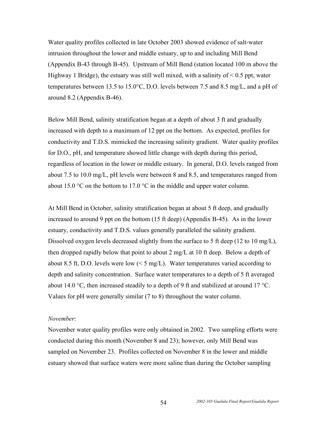Water quality profiles collected in late October 2003 showed evidence of salt-water intrusion throughout the lower and middle estuary, up to and including Mill Bend (Appendix B-43 through B-45). Upstream of Mill Bend (station located 100 m above the Highway 1 Bridge), the estuary was still well mixed, with a salinity of  $\leq 0.5$  ppt, water temperatures between 13.5 to 15.0°C, D.O. levels between 7.5 and 8.5 mg/L, and a pH of around 8.2 (Appendix B-46).

Below Mill Bend, salinity stratification began at a depth of about 3 ft and gradually increased with depth to a maximum of 12 ppt on the bottom. As expected, profiles for conductivity and T.D.S. mimicked the increasing salinity gradient. Water quality profiles for D.O., pH, and temperature showed little change with depth during this period, regardless of location in the lower or middle estuary. In general, D.O. levels ranged from about 7.5 to 10.0 mg/L, pH levels were between 8 and 8.5, and temperatures ranged from about 15.0  $\degree$ C on the bottom to 17.0  $\degree$ C in the middle and upper water column.

At Mill Bend in October, salinity stratification began at about 5 ft deep, and gradually increased to around 9 ppt on the bottom (15 ft deep) (Appendix B-45). As in the lower estuary, conductivity and T.D.S. values generally paralleled the salinity gradient. Dissolved oxygen levels decreased slightly from the surface to 5 ft deep (12 to 10 mg/L), then dropped rapidly below that point to about 2 mg/L at 10 ft deep. Below a depth of about 8.5 ft, D.O. levels were low  $(< 5 \text{ mg/L})$ . Water temperatures varied according to depth and salinity concentration. Surface water temperatures to a depth of 5 ft averaged about 14.0 °C, then increased steadily to a depth of 9 ft and stabilized at around 17 °C. Values for pH were generally similar (7 to 8) throughout the water column.

#### *November*:

November water quality profiles were only obtained in 2002. Two sampling efforts were conducted during this month (November 8 and 23); however, only Mill Bend was sampled on November 23. Profiles collected on November 8 in the lower and middle estuary showed that surface waters were more saline than during the October sampling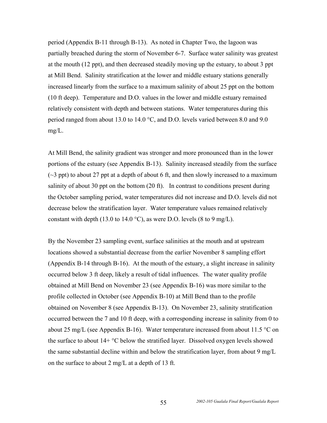period (Appendix B-11 through B-13). As noted in Chapter Two, the lagoon was partially breached during the storm of November 6-7. Surface water salinity was greatest at the mouth (12 ppt), and then decreased steadily moving up the estuary, to about 3 ppt at Mill Bend. Salinity stratification at the lower and middle estuary stations generally increased linearly from the surface to a maximum salinity of about 25 ppt on the bottom (10 ft deep). Temperature and D.O. values in the lower and middle estuary remained relatively consistent with depth and between stations. Water temperatures during this period ranged from about 13.0 to 14.0 °C, and D.O. levels varied between 8.0 and 9.0 mg/L.

At Mill Bend, the salinity gradient was stronger and more pronounced than in the lower portions of the estuary (see Appendix B-13). Salinity increased steadily from the surface  $(\sim$ 3 ppt) to about 27 ppt at a depth of about 6 ft, and then slowly increased to a maximum salinity of about 30 ppt on the bottom (20 ft). In contrast to conditions present during the October sampling period, water temperatures did not increase and D.O. levels did not decrease below the stratification layer. Water temperature values remained relatively constant with depth (13.0 to 14.0 °C), as were D.O. levels (8 to 9 mg/L).

By the November 23 sampling event, surface salinities at the mouth and at upstream locations showed a substantial decrease from the earlier November 8 sampling effort (Appendix B-14 through B-16). At the mouth of the estuary, a slight increase in salinity occurred below 3 ft deep, likely a result of tidal influences. The water quality profile obtained at Mill Bend on November 23 (see Appendix B-16) was more similar to the profile collected in October (see Appendix B-10) at Mill Bend than to the profile obtained on November 8 (see Appendix B-13). On November 23, salinity stratification occurred between the 7 and 10 ft deep, with a corresponding increase in salinity from 0 to about 25 mg/L (see Appendix B-16). Water temperature increased from about 11.5  $\degree$ C on the surface to about  $14+°C$  below the stratified layer. Dissolved oxygen levels showed the same substantial decline within and below the stratification layer, from about 9 mg/L on the surface to about 2 mg/L at a depth of 13 ft.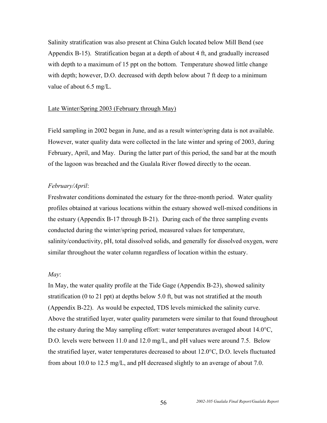Salinity stratification was also present at China Gulch located below Mill Bend (see Appendix B-15). Stratification began at a depth of about 4 ft, and gradually increased with depth to a maximum of 15 ppt on the bottom. Temperature showed little change with depth; however, D.O. decreased with depth below about 7 ft deep to a minimum value of about 6.5 mg/L.

#### Late Winter/Spring 2003 (February through May)

Field sampling in 2002 began in June, and as a result winter/spring data is not available. However, water quality data were collected in the late winter and spring of 2003, during February, April, and May. During the latter part of this period, the sand bar at the mouth of the lagoon was breached and the Gualala River flowed directly to the ocean.

#### *February/April*:

Freshwater conditions dominated the estuary for the three-month period. Water quality profiles obtained at various locations within the estuary showed well-mixed conditions in the estuary (Appendix B-17 through B-21). During each of the three sampling events conducted during the winter/spring period, measured values for temperature, salinity/conductivity, pH, total dissolved solids, and generally for dissolved oxygen, were similar throughout the water column regardless of location within the estuary.

#### *May*:

In May, the water quality profile at the Tide Gage (Appendix B-23), showed salinity stratification (0 to 21 ppt) at depths below 5.0 ft, but was not stratified at the mouth (Appendix B-22). As would be expected, TDS levels mimicked the salinity curve. Above the stratified layer, water quality parameters were similar to that found throughout the estuary during the May sampling effort: water temperatures averaged about 14.0°C, D.O. levels were between 11.0 and 12.0 mg/L, and pH values were around 7.5. Below the stratified layer, water temperatures decreased to about 12.0°C, D.O. levels fluctuated from about 10.0 to 12.5 mg/L, and pH decreased slightly to an average of about 7.0.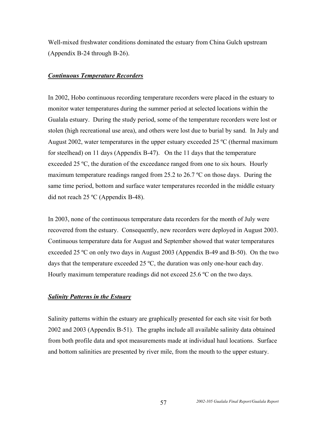Well-mixed freshwater conditions dominated the estuary from China Gulch upstream (Appendix B-24 through B-26).

### *Continuous Temperature Recorders*

In 2002, Hobo continuous recording temperature recorders were placed in the estuary to monitor water temperatures during the summer period at selected locations within the Gualala estuary. During the study period, some of the temperature recorders were lost or stolen (high recreational use area), and others were lost due to burial by sand. In July and August 2002, water temperatures in the upper estuary exceeded 25 ºC (thermal maximum for steelhead) on 11 days (Appendix B-47). On the 11 days that the temperature exceeded 25 °C, the duration of the exceedance ranged from one to six hours. Hourly maximum temperature readings ranged from 25.2 to 26.7 ºC on those days. During the same time period, bottom and surface water temperatures recorded in the middle estuary did not reach 25 ºC (Appendix B-48).

In 2003, none of the continuous temperature data recorders for the month of July were recovered from the estuary. Consequently, new recorders were deployed in August 2003. Continuous temperature data for August and September showed that water temperatures exceeded 25 ºC on only two days in August 2003 (Appendix B-49 and B-50). On the two days that the temperature exceeded 25 ºC, the duration was only one-hour each day. Hourly maximum temperature readings did not exceed 25.6 ºC on the two days.

## *Salinity Patterns in the Estuary*

Salinity patterns within the estuary are graphically presented for each site visit for both 2002 and 2003 (Appendix B-51). The graphs include all available salinity data obtained from both profile data and spot measurements made at individual haul locations. Surface and bottom salinities are presented by river mile, from the mouth to the upper estuary.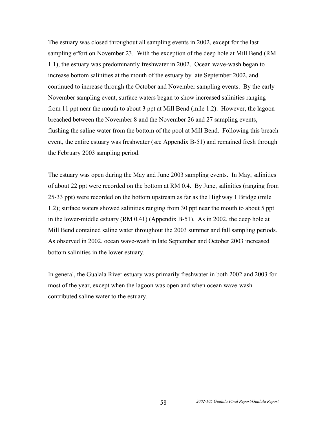The estuary was closed throughout all sampling events in 2002, except for the last sampling effort on November 23. With the exception of the deep hole at Mill Bend (RM 1.1), the estuary was predominantly freshwater in 2002. Ocean wave-wash began to increase bottom salinities at the mouth of the estuary by late September 2002, and continued to increase through the October and November sampling events. By the early November sampling event, surface waters began to show increased salinities ranging from 11 ppt near the mouth to about 3 ppt at Mill Bend (mile 1.2). However, the lagoon breached between the November 8 and the November 26 and 27 sampling events, flushing the saline water from the bottom of the pool at Mill Bend. Following this breach event, the entire estuary was freshwater (see Appendix B-51) and remained fresh through the February 2003 sampling period.

The estuary was open during the May and June 2003 sampling events. In May, salinities of about 22 ppt were recorded on the bottom at RM 0.4. By June, salinities (ranging from 25-33 ppt) were recorded on the bottom upstream as far as the Highway 1 Bridge (mile 1.2); surface waters showed salinities ranging from 30 ppt near the mouth to about 5 ppt in the lower-middle estuary (RM 0.41) (Appendix B-51). As in 2002, the deep hole at Mill Bend contained saline water throughout the 2003 summer and fall sampling periods. As observed in 2002, ocean wave-wash in late September and October 2003 increased bottom salinities in the lower estuary.

In general, the Gualala River estuary was primarily freshwater in both 2002 and 2003 for most of the year, except when the lagoon was open and when ocean wave-wash contributed saline water to the estuary.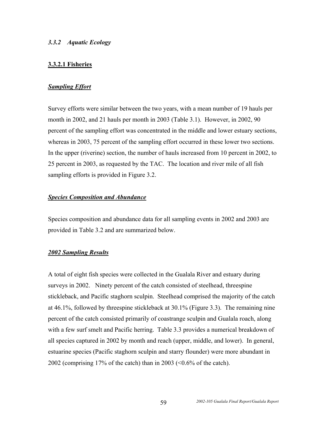## *3.3.2 Aquatic Ecology*

## **3.3.2.1 Fisheries**

## *Sampling Effort*

Survey efforts were similar between the two years, with a mean number of 19 hauls per month in 2002, and 21 hauls per month in 2003 (Table 3.1). However, in 2002, 90 percent of the sampling effort was concentrated in the middle and lower estuary sections, whereas in 2003, 75 percent of the sampling effort occurred in these lower two sections. In the upper (riverine) section, the number of hauls increased from 10 percent in 2002, to 25 percent in 2003, as requested by the TAC. The location and river mile of all fish sampling efforts is provided in Figure 3.2.

## *Species Composition and Abundance*

Species composition and abundance data for all sampling events in 2002 and 2003 are provided in Table 3.2 and are summarized below.

#### *2002 Sampling Results*

A total of eight fish species were collected in the Gualala River and estuary during surveys in 2002. Ninety percent of the catch consisted of steelhead, threespine stickleback, and Pacific staghorn sculpin. Steelhead comprised the majority of the catch at 46.1%, followed by threespine stickleback at 30.1% (Figure 3.3). The remaining nine percent of the catch consisted primarily of coastrange sculpin and Gualala roach, along with a few surf smelt and Pacific herring. Table 3.3 provides a numerical breakdown of all species captured in 2002 by month and reach (upper, middle, and lower). In general, estuarine species (Pacific staghorn sculpin and starry flounder) were more abundant in 2002 (comprising 17% of the catch) than in 2003 ( $\leq 0.6$ % of the catch).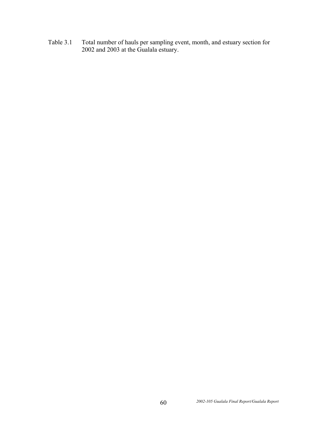Table 3.1 Total number of hauls per sampling event, month, and estuary section for 2002 and 2003 at the Gualala estuary.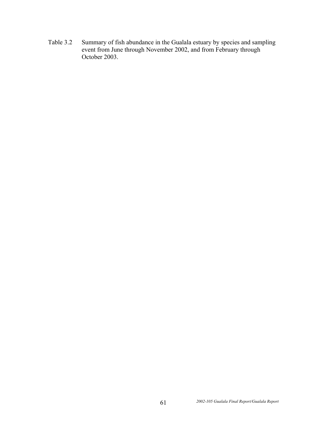Table 3.2 Summary of fish abundance in the Gualala estuary by species and sampling event from June through November 2002, and from February through October 2003.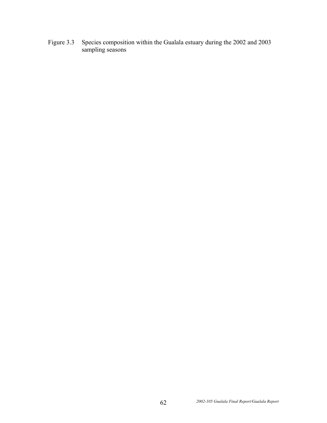Figure 3.3 Species composition within the Gualala estuary during the 2002 and 2003 sampling seasons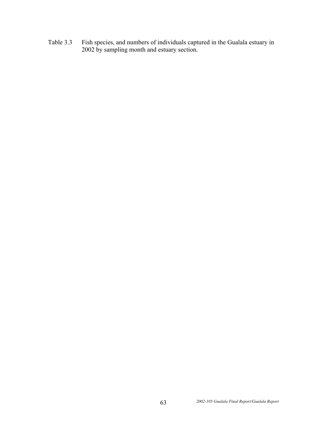Table 3.3 Fish species, and numbers of individuals captured in the Gualala estuary in 2002 by sampling month and estuary section.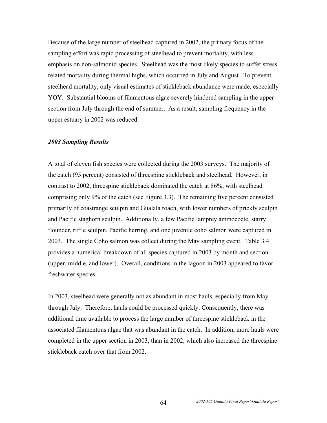Because of the large number of steelhead captured in 2002, the primary focus of the sampling effort was rapid processing of steelhead to prevent mortality, with less emphasis on non-salmonid species. Steelhead was the most likely species to suffer stress related mortality during thermal highs, which occurred in July and August. To prevent steelhead mortality, only visual estimates of stickleback abundance were made, especially YOY. Substantial blooms of filamentous algae severely hindered sampling in the upper section from July through the end of summer. As a result, sampling frequency in the upper estuary in 2002 was reduced.

#### *2003 Sampling Results*

A total of eleven fish species were collected during the 2003 surveys. The majority of the catch (95 percent) consisted of threespine stickleback and steelhead. However, in contrast to 2002, threespine stickleback dominated the catch at 86%, with steelhead comprising only 9% of the catch (see Figure 3.3). The remaining five percent consisted primarily of coastrange sculpin and Gualala roach, with lower numbers of prickly sculpin and Pacific staghorn sculpin. Additionally, a few Pacific lamprey ammocoete, starry flounder, riffle sculpin, Pacific herring, and one juvenile coho salmon were captured in 2003. The single Coho salmon was collect during the May sampling event. Table 3.4 provides a numerical breakdown of all species captured in 2003 by month and section (upper, middle, and lower). Overall, conditions in the lagoon in 2003 appeared to favor freshwater species.

In 2003, steelhead were generally not as abundant in most hauls, especially from May through July. Therefore, hauls could be processed quickly. Consequently, there was additional time available to process the large number of threespine stickleback in the associated filamentous algae that was abundant in the catch. In addition, more hauls were completed in the upper section in 2003, than in 2002, which also increased the threespine stickleback catch over that from 2002.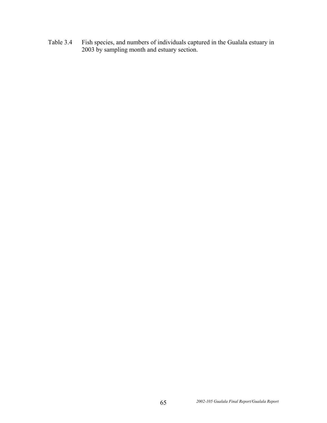Table 3.4 Fish species, and numbers of individuals captured in the Gualala estuary in 2003 by sampling month and estuary section.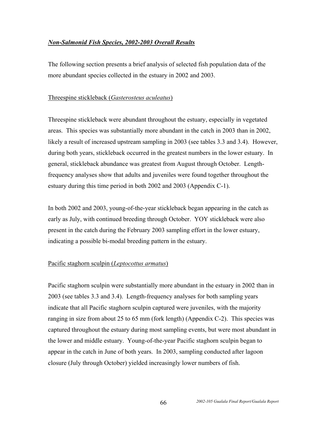## *Non-Salmonid Fish Species, 2002-2003 Overall Results*

The following section presents a brief analysis of selected fish population data of the more abundant species collected in the estuary in 2002 and 2003.

## Threespine stickleback (*Gasterosteus aculeatus*)

Threespine stickleback were abundant throughout the estuary, especially in vegetated areas. This species was substantially more abundant in the catch in 2003 than in 2002, likely a result of increased upstream sampling in 2003 (see tables 3.3 and 3.4). However, during both years, stickleback occurred in the greatest numbers in the lower estuary. In general, stickleback abundance was greatest from August through October. Lengthfrequency analyses show that adults and juveniles were found together throughout the estuary during this time period in both 2002 and 2003 (Appendix C-1).

In both 2002 and 2003, young-of-the-year stickleback began appearing in the catch as early as July, with continued breeding through October. YOY stickleback were also present in the catch during the February 2003 sampling effort in the lower estuary, indicating a possible bi-modal breeding pattern in the estuary.

## Pacific staghorn sculpin (*Leptocottus armatus*)

Pacific staghorn sculpin were substantially more abundant in the estuary in 2002 than in 2003 (see tables 3.3 and 3.4). Length-frequency analyses for both sampling years indicate that all Pacific staghorn sculpin captured were juveniles, with the majority ranging in size from about 25 to 65 mm (fork length) (Appendix C-2). This species was captured throughout the estuary during most sampling events, but were most abundant in the lower and middle estuary. Young-of-the-year Pacific staghorn sculpin began to appear in the catch in June of both years. In 2003, sampling conducted after lagoon closure (July through October) yielded increasingly lower numbers of fish.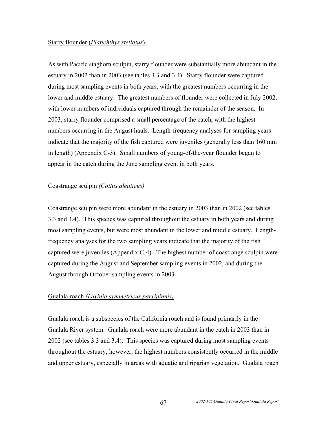#### Starry flounder (*Platichthys stellatus*)

As with Pacific staghorn sculpin, starry flounder were substantially more abundant in the estuary in 2002 than in 2003 (see tables 3.3 and 3.4). Starry flounder were captured during most sampling events in both years, with the greatest numbers occurring in the lower and middle estuary. The greatest numbers of flounder were collected in July 2002, with lower numbers of individuals captured through the remainder of the season. In 2003, starry flounder comprised a small percentage of the catch, with the highest numbers occurring in the August hauls. Length-frequency analyses for sampling years indicate that the majority of the fish captured were juveniles (generally less than 160 mm in length) (Appendix C-3). Small numbers of young-of-the-year flounder began to appear in the catch during the June sampling event in both years.

## Coastrange sculpin *(Cottus aleuticus)*

Coastrange sculpin were more abundant in the estuary in 2003 than in 2002 (see tables 3.3 and 3.4). This species was captured throughout the estuary in both years and during most sampling events, but were most abundant in the lower and middle estuary. Lengthfrequency analyses for the two sampling years indicate that the majority of the fish captured were juveniles (Appendix C-4). The highest number of coastrange sculpin were captured during the August and September sampling events in 2002, and during the August through October sampling events in 2003.

## Gualala roach *(Lavinia symmetricus parvipinnis)*

Gualala roach is a subspecies of the California roach and is found primarily in the Gualala River system. Gualala roach were more abundant in the catch in 2003 than in 2002 (see tables 3.3 and 3.4). This species was captured during most sampling events throughout the estuary; however, the highest numbers consistently occurred in the middle and upper estuary, especially in areas with aquatic and riparian vegetation. Gualala roach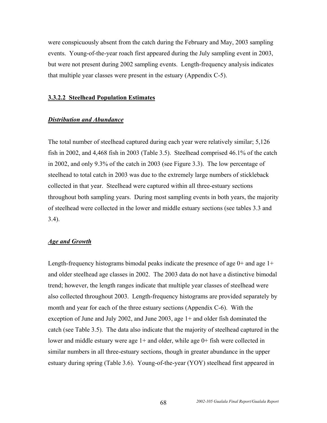were conspicuously absent from the catch during the February and May, 2003 sampling events. Young-of-the-year roach first appeared during the July sampling event in 2003, but were not present during 2002 sampling events. Length-frequency analysis indicates that multiple year classes were present in the estuary (Appendix C-5).

#### **3.3.2.2 Steelhead Population Estimates**

#### *Distribution and Abundance*

The total number of steelhead captured during each year were relatively similar; 5,126 fish in 2002, and 4,468 fish in 2003 (Table 3.5). Steelhead comprised 46.1% of the catch in 2002, and only 9.3% of the catch in 2003 (see Figure 3.3). The low percentage of steelhead to total catch in 2003 was due to the extremely large numbers of stickleback collected in that year. Steelhead were captured within all three-estuary sections throughout both sampling years. During most sampling events in both years, the majority of steelhead were collected in the lower and middle estuary sections (see tables 3.3 and 3.4).

#### *Age and Growth*

Length-frequency histograms bimodal peaks indicate the presence of age  $0+$  and age  $1+$ and older steelhead age classes in 2002. The 2003 data do not have a distinctive bimodal trend; however, the length ranges indicate that multiple year classes of steelhead were also collected throughout 2003. Length-frequency histograms are provided separately by month and year for each of the three estuary sections (Appendix C-6). With the exception of June and July 2002, and June 2003, age 1+ and older fish dominated the catch (see Table 3.5). The data also indicate that the majority of steelhead captured in the lower and middle estuary were age 1+ and older, while age 0+ fish were collected in similar numbers in all three-estuary sections, though in greater abundance in the upper estuary during spring (Table 3.6). Young-of-the-year (YOY) steelhead first appeared in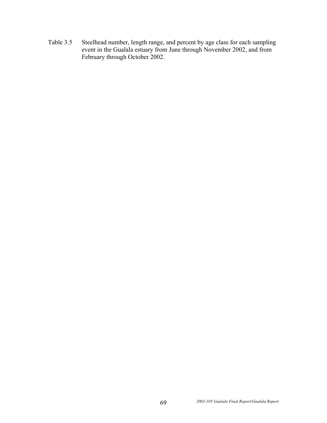Table 3.5 Steelhead number, length range, and percent by age class for each sampling event in the Gualala estuary from June through November 2002, and from February through October 2002.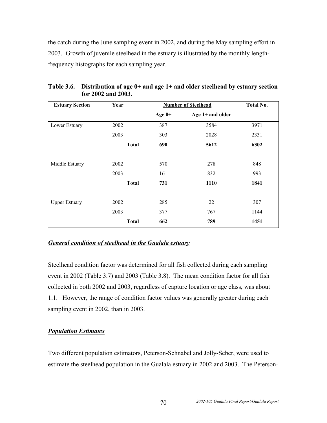the catch during the June sampling event in 2002, and during the May sampling effort in 2003. Growth of juvenile steelhead in the estuary is illustrated by the monthly lengthfrequency histographs for each sampling year.

| <b>Estuary Section</b> | Year         | <b>Number of Steelhead</b> |                    | Total No. |
|------------------------|--------------|----------------------------|--------------------|-----------|
|                        |              | Age $0+$                   | Age $1+$ and older |           |
| Lower Estuary          | 2002         | 387                        | 3584               | 3971      |
|                        | 2003         | 303                        | 2028               | 2331      |
|                        | <b>Total</b> | 690                        | 5612               | 6302      |
| Middle Estuary         | 2002         | 570                        | 278                | 848       |
|                        | 2003         | 161                        | 832                | 993       |
|                        | <b>Total</b> | 731                        | 1110               | 1841      |
| <b>Upper Estuary</b>   | 2002         | 285                        | 22                 | 307       |
|                        | 2003         | 377                        | 767                | 1144      |
|                        | <b>Total</b> | 662                        | 789                | 1451      |

**Table 3.6. Distribution of age 0+ and age 1+ and older steelhead by estuary section for 2002 and 2003.** 

## *General condition of steelhead in the Gualala estuary*

Steelhead condition factor was determined for all fish collected during each sampling event in 2002 (Table 3.7) and 2003 (Table 3.8). The mean condition factor for all fish collected in both 2002 and 2003, regardless of capture location or age class, was about 1.1. However, the range of condition factor values was generally greater during each sampling event in 2002, than in 2003.

# *Population Estimates*

Two different population estimators, Peterson-Schnabel and Jolly-Seber, were used to estimate the steelhead population in the Gualala estuary in 2002 and 2003. The Peterson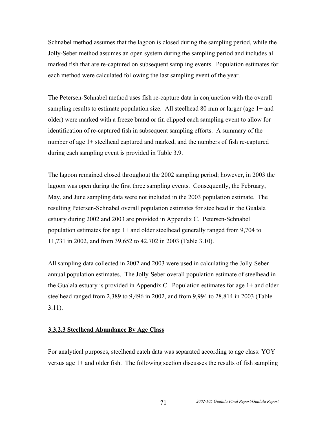Schnabel method assumes that the lagoon is closed during the sampling period, while the Jolly-Seber method assumes an open system during the sampling period and includes all marked fish that are re-captured on subsequent sampling events. Population estimates for each method were calculated following the last sampling event of the year.

The Petersen-Schnabel method uses fish re-capture data in conjunction with the overall sampling results to estimate population size. All steelhead 80 mm or larger (age  $1+$  and older) were marked with a freeze brand or fin clipped each sampling event to allow for identification of re-captured fish in subsequent sampling efforts. A summary of the number of age 1+ steelhead captured and marked, and the numbers of fish re-captured during each sampling event is provided in Table 3.9.

The lagoon remained closed throughout the 2002 sampling period; however, in 2003 the lagoon was open during the first three sampling events. Consequently, the February, May, and June sampling data were not included in the 2003 population estimate. The resulting Petersen-Schnabel overall population estimates for steelhead in the Gualala estuary during 2002 and 2003 are provided in Appendix C. Petersen-Schnabel population estimates for age 1+ and older steelhead generally ranged from 9,704 to 11,731 in 2002, and from 39,652 to 42,702 in 2003 (Table 3.10).

All sampling data collected in 2002 and 2003 were used in calculating the Jolly-Seber annual population estimates. The Jolly-Seber overall population estimate of steelhead in the Gualala estuary is provided in Appendix C. Population estimates for age 1+ and older steelhead ranged from 2,389 to 9,496 in 2002, and from 9,994 to 28,814 in 2003 (Table 3.11).

#### **3.3.2.3 Steelhead Abundance By Age Class**

For analytical purposes, steelhead catch data was separated according to age class: YOY versus age 1+ and older fish. The following section discusses the results of fish sampling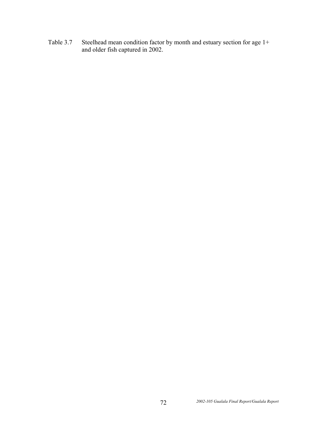Table 3.7 Steelhead mean condition factor by month and estuary section for age 1+ and older fish captured in 2002.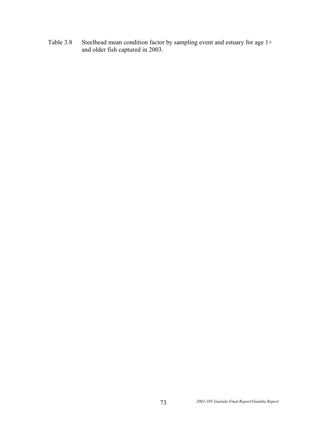Table 3.8 Steelhead mean condition factor by sampling event and estuary for age 1+ and older fish captured in 2003.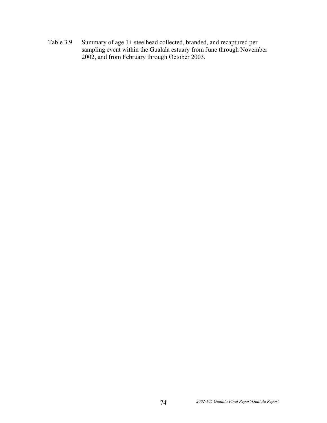Table 3.9 Summary of age 1+ steelhead collected, branded, and recaptured per sampling event within the Gualala estuary from June through November 2002, and from February through October 2003.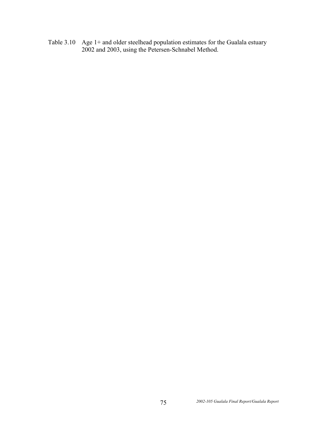Table 3.10 Age 1+ and older steelhead population estimates for the Gualala estuary 2002 and 2003, using the Petersen-Schnabel Method.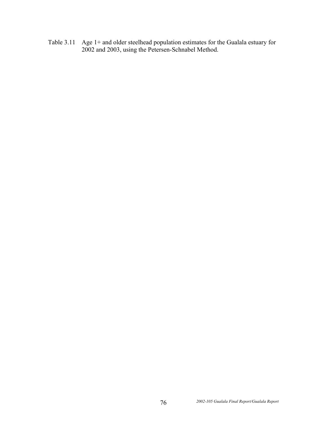Table 3.11 Age 1+ and older steelhead population estimates for the Gualala estuary for 2002 and 2003, using the Petersen-Schnabel Method.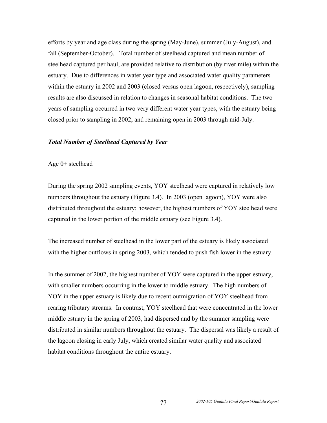efforts by year and age class during the spring (May-June), summer (July-August), and fall (September-October). Total number of steelhead captured and mean number of steelhead captured per haul, are provided relative to distribution (by river mile) within the estuary. Due to differences in water year type and associated water quality parameters within the estuary in 2002 and 2003 (closed versus open lagoon, respectively), sampling results are also discussed in relation to changes in seasonal habitat conditions. The two years of sampling occurred in two very different water year types, with the estuary being closed prior to sampling in 2002, and remaining open in 2003 through mid-July.

#### *Total Number of Steelhead Captured by Year*

#### Age 0+ steelhead

During the spring 2002 sampling events, YOY steelhead were captured in relatively low numbers throughout the estuary (Figure 3.4). In 2003 (open lagoon), YOY were also distributed throughout the estuary; however, the highest numbers of YOY steelhead were captured in the lower portion of the middle estuary (see Figure 3.4).

The increased number of steelhead in the lower part of the estuary is likely associated with the higher outflows in spring 2003, which tended to push fish lower in the estuary.

In the summer of 2002, the highest number of YOY were captured in the upper estuary, with smaller numbers occurring in the lower to middle estuary. The high numbers of YOY in the upper estuary is likely due to recent outmigration of YOY steelhead from rearing tributary streams. In contrast, YOY steelhead that were concentrated in the lower middle estuary in the spring of 2003, had dispersed and by the summer sampling were distributed in similar numbers throughout the estuary. The dispersal was likely a result of the lagoon closing in early July, which created similar water quality and associated habitat conditions throughout the entire estuary.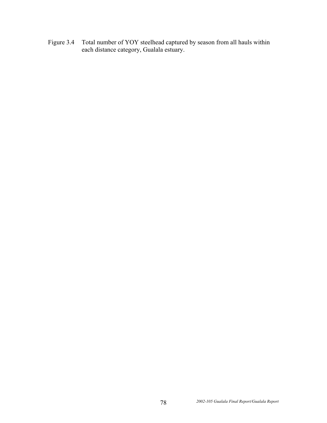Figure 3.4 Total number of YOY steelhead captured by season from all hauls within each distance category, Gualala estuary.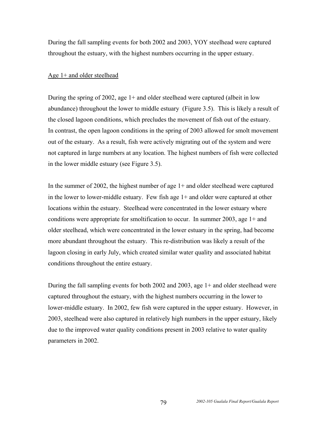During the fall sampling events for both 2002 and 2003, YOY steelhead were captured throughout the estuary, with the highest numbers occurring in the upper estuary.

#### Age 1+ and older steelhead

During the spring of 2002, age 1+ and older steelhead were captured (albeit in low abundance) throughout the lower to middle estuary (Figure 3.5). This is likely a result of the closed lagoon conditions, which precludes the movement of fish out of the estuary. In contrast, the open lagoon conditions in the spring of 2003 allowed for smolt movement out of the estuary. As a result, fish were actively migrating out of the system and were not captured in large numbers at any location. The highest numbers of fish were collected in the lower middle estuary (see Figure 3.5).

In the summer of 2002, the highest number of age 1+ and older steelhead were captured in the lower to lower-middle estuary. Few fish age 1+ and older were captured at other locations within the estuary. Steelhead were concentrated in the lower estuary where conditions were appropriate for smoltification to occur. In summer 2003, age 1+ and older steelhead, which were concentrated in the lower estuary in the spring, had become more abundant throughout the estuary. This re-distribution was likely a result of the lagoon closing in early July, which created similar water quality and associated habitat conditions throughout the entire estuary.

During the fall sampling events for both 2002 and 2003, age 1+ and older steelhead were captured throughout the estuary, with the highest numbers occurring in the lower to lower-middle estuary. In 2002, few fish were captured in the upper estuary. However, in 2003, steelhead were also captured in relatively high numbers in the upper estuary, likely due to the improved water quality conditions present in 2003 relative to water quality parameters in 2002.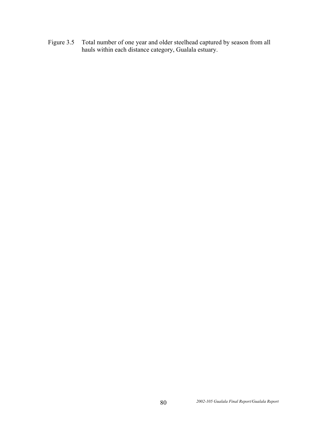Figure 3.5 Total number of one year and older steelhead captured by season from all hauls within each distance category, Gualala estuary.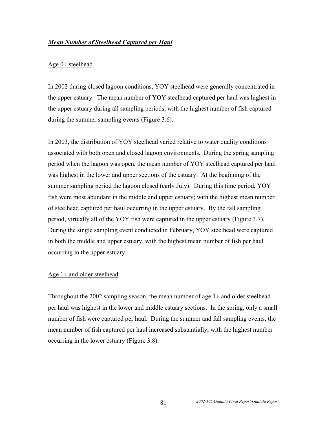## *Mean Number of Steelhead Captured per Haul*

## Age 0+ steelhead

In 2002 during closed lagoon conditions, YOY steelhead were generally concentrated in the upper estuary. The mean number of YOY steelhead captured per haul was highest in the upper estuary during all sampling periods, with the highest number of fish captured during the summer sampling events (Figure 3.6).

In 2003, the distribution of YOY steelhead varied relative to water quality conditions associated with both open and closed lagoon environments. During the spring sampling period when the lagoon was open, the mean number of YOY steelhead captured per haul was highest in the lower and upper sections of the estuary. At the beginning of the summer sampling period the lagoon closed (early July). During this time period, YOY fish were most abundant in the middle and upper estuary; with the highest mean number of steelhead captured per haul occurring in the upper estuary. By the fall sampling period, virtually all of the YOY fish were captured in the upper estuary (Figure 3.7). During the single sampling event conducted in February, YOY steelhead were captured in both the middle and upper estuary, with the highest mean number of fish per haul occurring in the upper estuary.

## Age 1+ and older steelhead

Throughout the 2002 sampling season, the mean number of age 1+ and older steelhead per haul was highest in the lower and middle estuary sections. In the spring, only a small number of fish were captured per haul. During the summer and fall sampling events, the mean number of fish captured per haul increased substantially, with the highest number occurring in the lower estuary (Figure 3.8).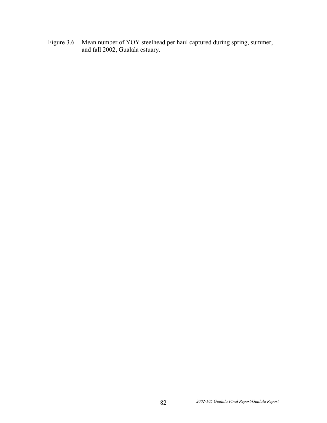Figure 3.6 Mean number of YOY steelhead per haul captured during spring, summer, and fall 2002, Gualala estuary.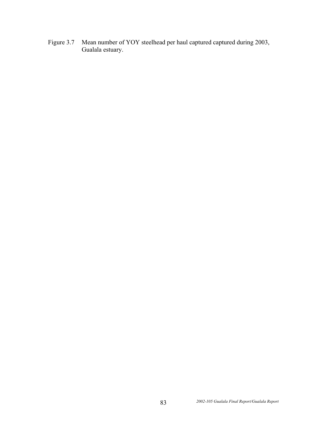Figure 3.7 Mean number of YOY steelhead per haul captured captured during 2003, Gualala estuary.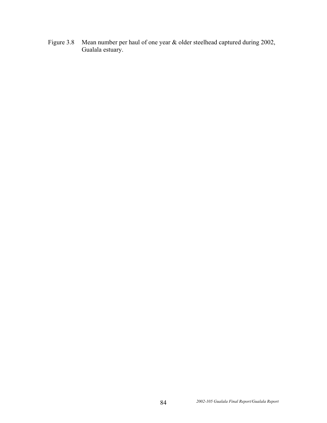Figure 3.8 Mean number per haul of one year & older steelhead captured during 2002, Gualala estuary.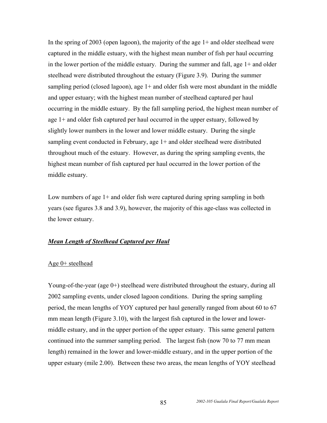In the spring of 2003 (open lagoon), the majority of the age  $1+$  and older steelhead were captured in the middle estuary, with the highest mean number of fish per haul occurring in the lower portion of the middle estuary. During the summer and fall, age 1+ and older steelhead were distributed throughout the estuary (Figure 3.9). During the summer sampling period (closed lagoon), age 1+ and older fish were most abundant in the middle and upper estuary; with the highest mean number of steelhead captured per haul occurring in the middle estuary. By the fall sampling period, the highest mean number of age 1+ and older fish captured per haul occurred in the upper estuary, followed by slightly lower numbers in the lower and lower middle estuary. During the single sampling event conducted in February, age 1+ and older steelhead were distributed throughout much of the estuary. However, as during the spring sampling events, the highest mean number of fish captured per haul occurred in the lower portion of the middle estuary.

Low numbers of age 1+ and older fish were captured during spring sampling in both years (see figures 3.8 and 3.9), however, the majority of this age-class was collected in the lower estuary.

## *Mean Length of Steelhead Captured per Haul*

#### Age 0+ steelhead

Young-of-the-year (age 0+) steelhead were distributed throughout the estuary, during all 2002 sampling events, under closed lagoon conditions. During the spring sampling period, the mean lengths of YOY captured per haul generally ranged from about 60 to 67 mm mean length (Figure 3.10), with the largest fish captured in the lower and lowermiddle estuary, and in the upper portion of the upper estuary. This same general pattern continued into the summer sampling period. The largest fish (now 70 to 77 mm mean length) remained in the lower and lower-middle estuary, and in the upper portion of the upper estuary (mile 2.00). Between these two areas, the mean lengths of YOY steelhead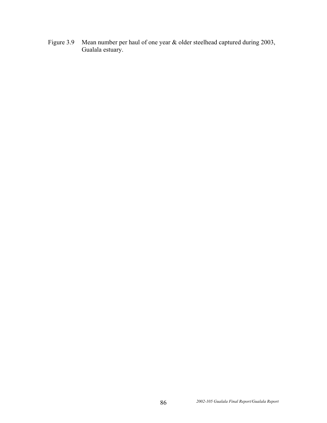Figure 3.9 Mean number per haul of one year & older steelhead captured during 2003, Gualala estuary.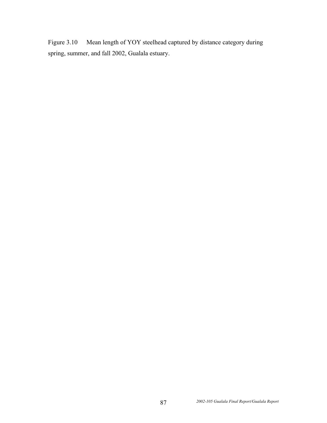Figure 3.10 Mean length of YOY steelhead captured by distance category during spring, summer, and fall 2002, Gualala estuary.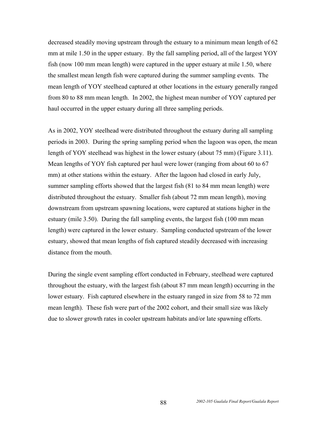decreased steadily moving upstream through the estuary to a minimum mean length of 62 mm at mile 1.50 in the upper estuary. By the fall sampling period, all of the largest YOY fish (now 100 mm mean length) were captured in the upper estuary at mile 1.50, where the smallest mean length fish were captured during the summer sampling events. The mean length of YOY steelhead captured at other locations in the estuary generally ranged from 80 to 88 mm mean length. In 2002, the highest mean number of YOY captured per haul occurred in the upper estuary during all three sampling periods.

As in 2002, YOY steelhead were distributed throughout the estuary during all sampling periods in 2003. During the spring sampling period when the lagoon was open, the mean length of YOY steelhead was highest in the lower estuary (about 75 mm) (Figure 3.11). Mean lengths of YOY fish captured per haul were lower (ranging from about 60 to 67 mm) at other stations within the estuary. After the lagoon had closed in early July, summer sampling efforts showed that the largest fish (81 to 84 mm mean length) were distributed throughout the estuary. Smaller fish (about 72 mm mean length), moving downstream from upstream spawning locations, were captured at stations higher in the estuary (mile 3.50). During the fall sampling events, the largest fish (100 mm mean length) were captured in the lower estuary. Sampling conducted upstream of the lower estuary, showed that mean lengths of fish captured steadily decreased with increasing distance from the mouth.

During the single event sampling effort conducted in February, steelhead were captured throughout the estuary, with the largest fish (about 87 mm mean length) occurring in the lower estuary. Fish captured elsewhere in the estuary ranged in size from 58 to 72 mm mean length). These fish were part of the 2002 cohort, and their small size was likely due to slower growth rates in cooler upstream habitats and/or late spawning efforts.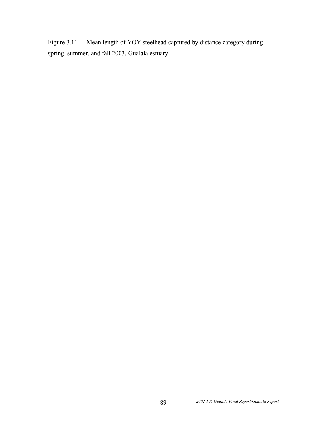Figure 3.11 Mean length of YOY steelhead captured by distance category during spring, summer, and fall 2003, Gualala estuary.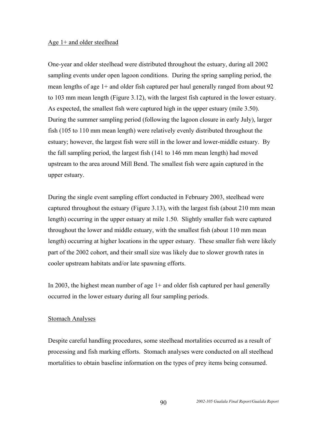#### Age 1+ and older steelhead

One-year and older steelhead were distributed throughout the estuary, during all 2002 sampling events under open lagoon conditions. During the spring sampling period, the mean lengths of age 1+ and older fish captured per haul generally ranged from about 92 to 103 mm mean length (Figure 3.12), with the largest fish captured in the lower estuary. As expected, the smallest fish were captured high in the upper estuary (mile 3.50). During the summer sampling period (following the lagoon closure in early July), larger fish (105 to 110 mm mean length) were relatively evenly distributed throughout the estuary; however, the largest fish were still in the lower and lower-middle estuary. By the fall sampling period, the largest fish (141 to 146 mm mean length) had moved upstream to the area around Mill Bend. The smallest fish were again captured in the upper estuary.

During the single event sampling effort conducted in February 2003, steelhead were captured throughout the estuary (Figure 3.13), with the largest fish (about 210 mm mean length) occurring in the upper estuary at mile 1.50. Slightly smaller fish were captured throughout the lower and middle estuary, with the smallest fish (about 110 mm mean length) occurring at higher locations in the upper estuary. These smaller fish were likely part of the 2002 cohort, and their small size was likely due to slower growth rates in cooler upstream habitats and/or late spawning efforts.

In 2003, the highest mean number of age  $1+$  and older fish captured per haul generally occurred in the lower estuary during all four sampling periods.

#### Stomach Analyses

Despite careful handling procedures, some steelhead mortalities occurred as a result of processing and fish marking efforts. Stomach analyses were conducted on all steelhead mortalities to obtain baseline information on the types of prey items being consumed.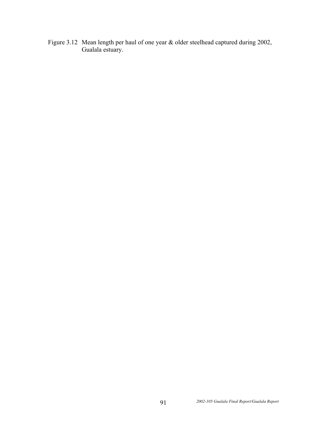Figure 3.12 Mean length per haul of one year & older steelhead captured during 2002, Gualala estuary.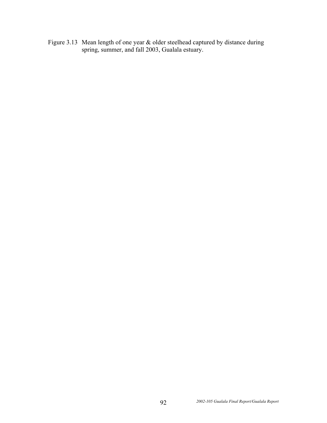Figure 3.13 Mean length of one year  $&$  older steelhead captured by distance during spring, summer, and fall 2003, Gualala estuary.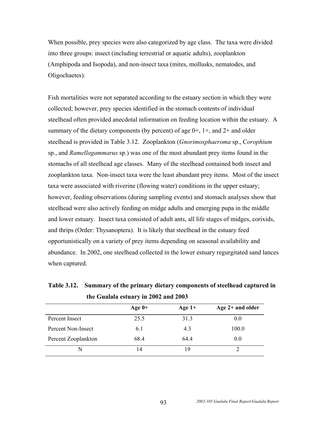When possible, prey species were also categorized by age class. The taxa were divided into three groups: insect (including terrestrial or aquatic adults), zooplankton (Amphipoda and Isopoda), and non-insect taxa (mites, mollusks, nematodes, and Oligochaetes).

Fish mortalities were not separated according to the estuary section in which they were collected; however, prey species identified in the stomach contents of individual steelhead often provided anecdotal information on feeding location within the estuary. A summary of the dietary components (by percent) of age  $0+$ ,  $1+$ , and  $2+$  and older steelhead is provided in Table 3.12. Zooplankton (*Gnorimosphaeroma* sp., C*orophium* sp., and *Ramellogammarus* sp.) was one of the most abundant prey items found in the stomachs of all steelhead age classes. Many of the steelhead contained both insect and zooplankton taxa. Non-insect taxa were the least abundant prey items. Most of the insect taxa were associated with riverine (flowing water) conditions in the upper estuary; however, feeding observations (during sampling events) and stomach analyses show that steelhead were also actively feeding on midge adults and emerging pupa in the middle and lower estuary. Insect taxa consisted of adult ants, all life stages of midges, corixids, and thrips (Order: Thysanoptera). It is likely that steelhead in the estuary feed opportunistically on a variety of prey items depending on seasonal availability and abundance. In 2002, one steelhead collected in the lower estuary regurgitated sand lances when captured.

**Table 3.12. Summary of the primary dietary components of steelhead captured in the Gualala estuary in 2002 and 2003** 

|                     | Age $0+$ | Age $1+$ | Age $2+$ and older |
|---------------------|----------|----------|--------------------|
| Percent Insect      | 25.5     | 31.3     | 0.0                |
| Percent Non-Insect  | 6.1      | 4.3      | 100.0              |
| Percent Zooplankton | 68.4     | 64.4     | 0.0                |
|                     | 4        | 19       |                    |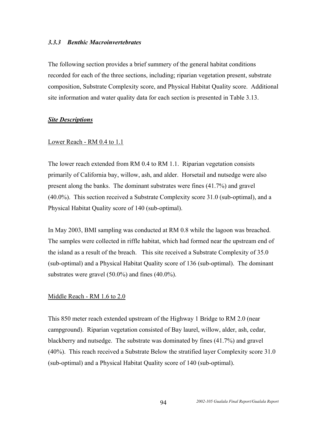#### *3.3.3 Benthic Macroinvertebrates*

The following section provides a brief summery of the general habitat conditions recorded for each of the three sections, including; riparian vegetation present, substrate composition, Substrate Complexity score, and Physical Habitat Quality score.Additional site information and water quality data for each section is presented in Table 3.13.

## *Site Descriptions*

## Lower Reach - RM 0.4 to 1.1

The lower reach extended from RM 0.4 to RM 1.1. Riparian vegetation consists primarily of California bay, willow, ash, and alder. Horsetail and nutsedge were also present along the banks. The dominant substrates were fines (41.7%) and gravel (40.0%). This section received a Substrate Complexity score 31.0 (sub-optimal), and a Physical Habitat Quality score of 140 (sub-optimal).

In May 2003, BMI sampling was conducted at RM 0.8 while the lagoon was breached. The samples were collected in riffle habitat, which had formed near the upstream end of the island as a result of the breach. This site received a Substrate Complexity of 35.0 (sub-optimal) and a Physical Habitat Quality score of 136 (sub-optimal). The dominant substrates were gravel (50.0%) and fines (40.0%).

## Middle Reach - RM 1.6 to 2.0

This 850 meter reach extended upstream of the Highway 1 Bridge to RM 2.0 (near campground). Riparian vegetation consisted of Bay laurel, willow, alder, ash, cedar, blackberry and nutsedge. The substrate was dominated by fines (41.7%) and gravel (40%). This reach received a Substrate Below the stratified layer Complexity score 31.0 (sub-optimal) and a Physical Habitat Quality score of 140 (sub-optimal).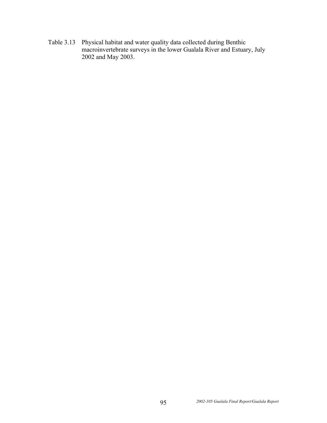Table 3.13 Physical habitat and water quality data collected during Benthic macroinvertebrate surveys in the lower Gualala River and Estuary, July 2002 and May 2003.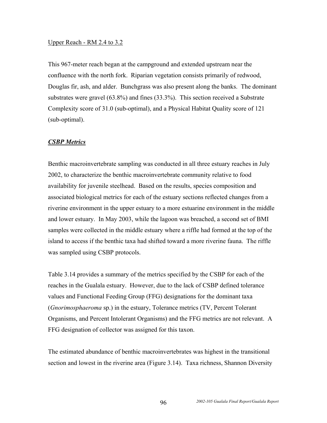#### Upper Reach - RM 2.4 to 3.2

This 967-meter reach began at the campground and extended upstream near the confluence with the north fork. Riparian vegetation consists primarily of redwood, Douglas fir, ash, and alder. Bunchgrass was also present along the banks. The dominant substrates were gravel (63.8%) and fines (33.3%). This section received a Substrate Complexity score of 31.0 (sub-optimal), and a Physical Habitat Quality score of 121 (sub-optimal).

#### *CSBP Metrics*

Benthic macroinvertebrate sampling was conducted in all three estuary reaches in July 2002, to characterize the benthic macroinvertebrate community relative to food availability for juvenile steelhead. Based on the results, species composition and associated biological metrics for each of the estuary sections reflected changes from a riverine environment in the upper estuary to a more estuarine environment in the middle and lower estuary. In May 2003, while the lagoon was breached, a second set of BMI samples were collected in the middle estuary where a riffle had formed at the top of the island to access if the benthic taxa had shifted toward a more riverine fauna. The riffle was sampled using CSBP protocols.

Table 3.14 provides a summary of the metrics specified by the CSBP for each of the reaches in the Gualala estuary. However, due to the lack of CSBP defined tolerance values and Functional Feeding Group (FFG) designations for the dominant taxa (*Gnorimosphaeroma* sp.) in the estuary, Tolerance metrics (TV, Percent Tolerant Organisms, and Percent Intolerant Organisms) and the FFG metrics are not relevant. A FFG designation of collector was assigned for this taxon.

The estimated abundance of benthic macroinvertebrates was highest in the transitional section and lowest in the riverine area (Figure 3.14). Taxa richness, Shannon Diversity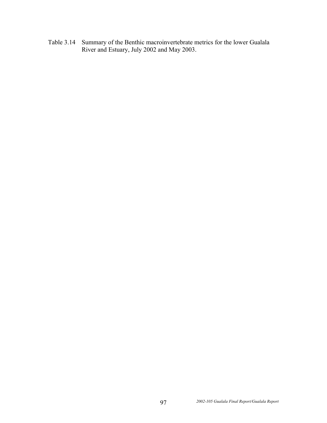Table 3.14 Summary of the Benthic macroinvertebrate metrics for the lower Gualala River and Estuary, July 2002 and May 2003.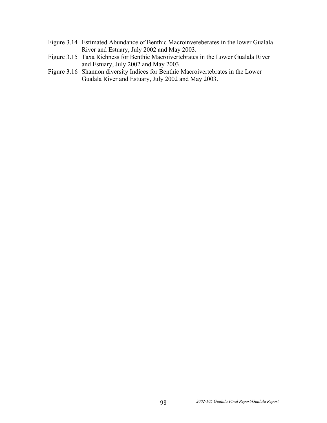- Figure 3.14 Estimated Abundance of Benthic Macroinvereberates in the lower Gualala River and Estuary, July 2002 and May 2003.
- Figure 3.15 Taxa Richness for Benthic Macroivertebrates in the Lower Gualala River and Estuary, July 2002 and May 2003.
- Figure 3.16 Shannon diversity Indices for Benthic Macroivertebrates in the Lower Gualala River and Estuary, July 2002 and May 2003.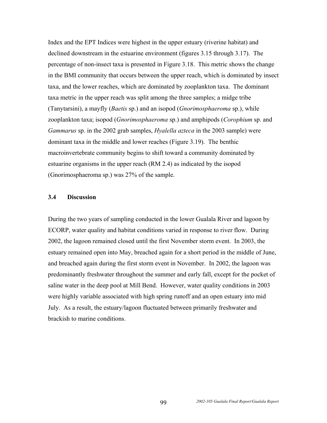Index and the EPT Indices were highest in the upper estuary (riverine habitat) and declined downstream in the estuarine environment (figures 3.15 through 3.17). The percentage of non-insect taxa is presented in Figure 3.18. This metric shows the change in the BMI community that occurs between the upper reach, which is dominated by insect taxa, and the lower reaches, which are dominated by zooplankton taxa. The dominant taxa metric in the upper reach was split among the three samples; a midge tribe (Tanytarsini), a mayfly (*Baetis* sp.) and an isopod (*Gnorimosphaeroma* sp.), while zooplankton taxa; isopod (*Gnorimosphaeroma* sp.) and amphipods (*Corophium* sp. and *Gammarus* sp. in the 2002 grab samples, *Hyalella azteca* in the 2003 sample) were dominant taxa in the middle and lower reaches (Figure 3.19). The benthic macroinvertebrate community begins to shift toward a community dominated by estuarine organisms in the upper reach (RM 2.4) as indicated by the isopod (Gnorimosphaeroma sp.) was 27% of the sample.

## **3.4 Discussion**

During the two years of sampling conducted in the lower Gualala River and lagoon by ECORP, water quality and habitat conditions varied in response to river flow. During 2002, the lagoon remained closed until the first November storm event. In 2003, the estuary remained open into May, breached again for a short period in the middle of June, and breached again during the first storm event in November. In 2002, the lagoon was predominantly freshwater throughout the summer and early fall, except for the pocket of saline water in the deep pool at Mill Bend. However, water quality conditions in 2003 were highly variable associated with high spring runoff and an open estuary into mid July. As a result, the estuary/lagoon fluctuated between primarily freshwater and brackish to marine conditions.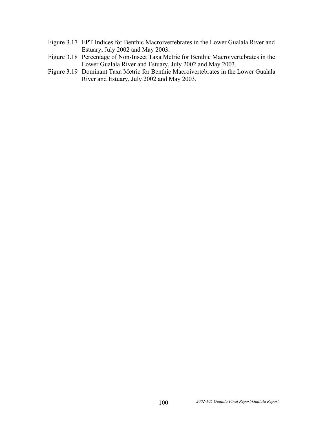- Figure 3.17 EPT Indices for Benthic Macroivertebrates in the Lower Gualala River and Estuary, July 2002 and May 2003.
- Figure 3.18 Percentage of Non-Insect Taxa Metric for Benthic Macroivertebrates in the Lower Gualala River and Estuary, July 2002 and May 2003.
- Figure 3.19 Dominant Taxa Metric for Benthic Macroivertebrates in the Lower Gualala River and Estuary, July 2002 and May 2003.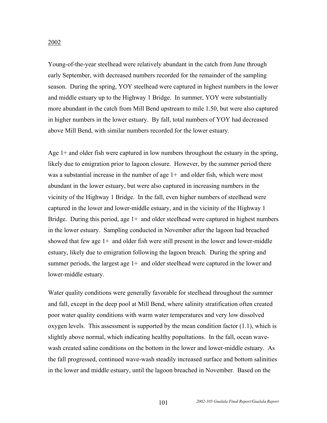# 2002

Young-of-the-year steelhead were relatively abundant in the catch from June through early September, with decreased numbers recorded for the remainder of the sampling season. During the spring, YOY steelhead were captured in highest numbers in the lower and middle estuary up to the Highway 1 Bridge. In summer, YOY were substantially more abundant in the catch from Mill Bend upstream to mile 1.50, but were also captured in higher numbers in the lower estuary. By fall, total numbers of YOY had decreased above Mill Bend, with similar numbers recorded for the lower estuary.

Age 1+ and older fish were captured in low numbers throughout the estuary in the spring, likely due to emigration prior to lagoon closure. However, by the summer period there was a substantial increase in the number of age 1+ and older fish, which were most abundant in the lower estuary, but were also captured in increasing numbers in the vicinity of the Highway 1 Bridge. In the fall, even higher numbers of steelhead were captured in the lower and lower-middle estuary, and in the vicinity of the Highway 1 Bridge. During this period, age  $1+$  and older steelhead were captured in highest numbers in the lower estuary. Sampling conducted in November after the lagoon had breached showed that few age  $1+$  and older fish were still present in the lower and lower-middle estuary, likely due to emigration following the lagoon breach. During the spring and summer periods, the largest age 1+ and older steelhead were captured in the lower and lower-middle estuary.

Water quality conditions were generally favorable for steelhead throughout the summer and fall, except in the deep pool at Mill Bend, where salinity stratification often created poor water quality conditions with warm water temperatures and very low dissolved oxygen levels. This assessment is supported by the mean condition factor (1.1), which is slightly above normal, which indicating healthy popultations. In the fall, ocean wavewash created saline conditions on the bottom in the lower and lower-middle estuary. As the fall progressed, continued wave-wash steadily increased surface and bottom salinities in the lower and middle estuary, until the lagoon breached in November. Based on the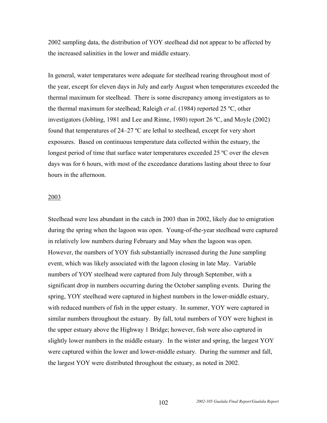2002 sampling data, the distribution of YOY steelhead did not appear to be affected by the increased salinities in the lower and middle estuary.

In general, water temperatures were adequate for steelhead rearing throughout most of the year, except for eleven days in July and early August when temperatures exceeded the thermal maximum for steelhead. There is some discrepancy among investigators as to the thermal maximum for steelhead; Raleigh *et al*. (1984) reported 25 ºC, other investigators (Jobling, 1981 and Lee and Rinne, 1980) report 26 ºC, and Moyle (2002) found that temperatures of 24–27 ºC are lethal to steelhead, except for very short exposures. Based on continuous temperature data collected within the estuary, the longest period of time that surface water temperatures exceeded 25 °C over the eleven days was for 6 hours, with most of the exceedance durations lasting about three to four hours in the afternoon.

#### 2003

Steelhead were less abundant in the catch in 2003 than in 2002, likely due to emigration during the spring when the lagoon was open. Young-of-the-year steelhead were captured in relatively low numbers during February and May when the lagoon was open. However, the numbers of YOY fish substantially increased during the June sampling event, which was likely associated with the lagoon closing in late May. Variable numbers of YOY steelhead were captured from July through September, with a significant drop in numbers occurring during the October sampling events. During the spring, YOY steelhead were captured in highest numbers in the lower-middle estuary, with reduced numbers of fish in the upper estuary. In summer, YOY were captured in similar numbers throughout the estuary. By fall, total numbers of YOY were highest in the upper estuary above the Highway 1 Bridge; however, fish were also captured in slightly lower numbers in the middle estuary. In the winter and spring, the largest YOY were captured within the lower and lower-middle estuary. During the summer and fall, the largest YOY were distributed throughout the estuary, as noted in 2002.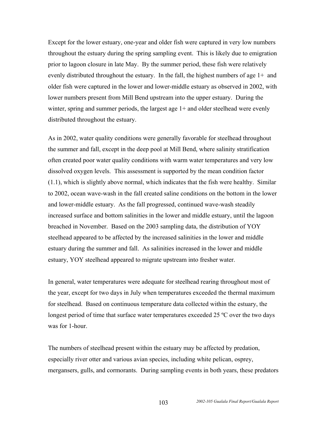Except for the lower estuary, one-year and older fish were captured in very low numbers throughout the estuary during the spring sampling event. This is likely due to emigration prior to lagoon closure in late May. By the summer period, these fish were relatively evenly distributed throughout the estuary. In the fall, the highest numbers of age 1+ and older fish were captured in the lower and lower-middle estuary as observed in 2002, with lower numbers present from Mill Bend upstream into the upper estuary. During the winter, spring and summer periods, the largest age 1+ and older steelhead were evenly distributed throughout the estuary.

As in 2002, water quality conditions were generally favorable for steelhead throughout the summer and fall, except in the deep pool at Mill Bend, where salinity stratification often created poor water quality conditions with warm water temperatures and very low dissolved oxygen levels. This assessment is supported by the mean condition factor (1.1), which is slightly above normal, which indicates that the fish were healthy. Similar to 2002, ocean wave-wash in the fall created saline conditions on the bottom in the lower and lower-middle estuary. As the fall progressed, continued wave-wash steadily increased surface and bottom salinities in the lower and middle estuary, until the lagoon breached in November. Based on the 2003 sampling data, the distribution of YOY steelhead appeared to be affected by the increased salinities in the lower and middle estuary during the summer and fall. As salinities increased in the lower and middle estuary, YOY steelhead appeared to migrate upstream into fresher water.

In general, water temperatures were adequate for steelhead rearing throughout most of the year, except for two days in July when temperatures exceeded the thermal maximum for steelhead. Based on continuous temperature data collected within the estuary, the longest period of time that surface water temperatures exceeded 25 °C over the two days was for 1-hour

The numbers of steelhead present within the estuary may be affected by predation, especially river otter and various avian species, including white pelican, osprey, mergansers, gulls, and cormorants. During sampling events in both years, these predators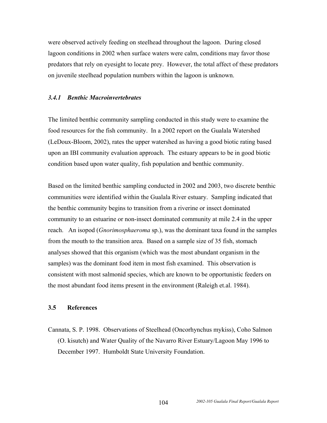were observed actively feeding on steelhead throughout the lagoon. During closed lagoon conditions in 2002 when surface waters were calm, conditions may favor those predators that rely on eyesight to locate prey. However, the total affect of these predators on juvenile steelhead population numbers within the lagoon is unknown.

#### *3.4.1 Benthic Macroinvertebrates*

The limited benthic community sampling conducted in this study were to examine the food resources for the fish community. In a 2002 report on the Gualala Watershed (LeDoux-Bloom, 2002), rates the upper watershed as having a good biotic rating based upon an IBI community evaluation approach. The estuary appears to be in good biotic condition based upon water quality, fish population and benthic community.

Based on the limited benthic sampling conducted in 2002 and 2003, two discrete benthic communities were identified within the Gualala River estuary. Sampling indicated that the benthic community begins to transition from a riverine or insect dominated community to an estuarine or non-insect dominated community at mile 2.4 in the upper reach. An isopod (*Gnorimosphaeroma* sp.), was the dominant taxa found in the samples from the mouth to the transition area. Based on a sample size of 35 fish, stomach analyses showed that this organism (which was the most abundant organism in the samples) was the dominant food item in most fish examined. This observation is consistent with most salmonid species, which are known to be opportunistic feeders on the most abundant food items present in the environment (Raleigh et.al. 1984).

#### **3.5 References**

Cannata, S. P. 1998. Observations of Steelhead (Oncorhynchus mykiss), Coho Salmon (O. kisutch) and Water Quality of the Navarro River Estuary/Lagoon May 1996 to December 1997. Humboldt State University Foundation.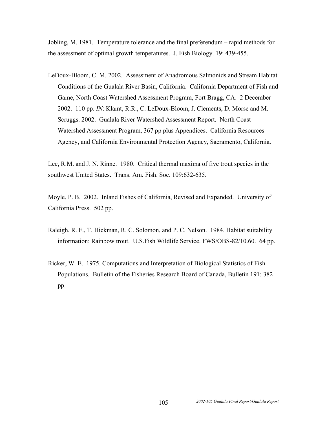Jobling, M. 1981. Temperature tolerance and the final preferendum – rapid methods for the assessment of optimal growth temperatures. J. Fish Biology. 19: 439-455.

LeDoux-Bloom, C. M. 2002. Assessment of Anadromous Salmonids and Stream Habitat Conditions of the Gualala River Basin, California. California Department of Fish and Game, North Coast Watershed Assessment Program, Fort Bragg, CA. 2 December 2002. 110 pp. *IN*: Klamt, R.R., C. LeDoux-Bloom, J. Clements, D. Morse and M. Scruggs. 2002. Gualala River Watershed Assessment Report. North Coast Watershed Assessment Program, 367 pp plus Appendices. California Resources Agency, and California Environmental Protection Agency, Sacramento, California.

Lee, R.M. and J. N. Rinne. 1980. Critical thermal maxima of five trout species in the southwest United States. Trans. Am. Fish. Soc. 109:632-635.

Moyle, P. B. 2002. Inland Fishes of California, Revised and Expanded. University of California Press. 502 pp.

- Raleigh, R. F., T. Hickman, R. C. Solomon, and P. C. Nelson. 1984. Habitat suitability information: Rainbow trout. U.S.Fish Wildlife Service. FWS/OBS-82/10.60. 64 pp.
- Ricker, W. E. 1975. Computations and Interpretation of Biological Statistics of Fish Populations. Bulletin of the Fisheries Research Board of Canada, Bulletin 191: 382 pp.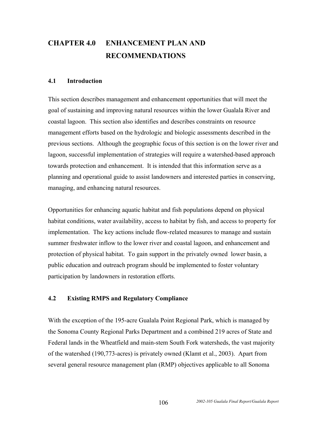# **CHAPTER 4.0 ENHANCEMENT PLAN AND RECOMMENDATIONS**

#### **4.1 Introduction**

This section describes management and enhancement opportunities that will meet the goal of sustaining and improving natural resources within the lower Gualala River and coastal lagoon. This section also identifies and describes constraints on resource management efforts based on the hydrologic and biologic assessments described in the previous sections. Although the geographic focus of this section is on the lower river and lagoon, successful implementation of strategies will require a watershed-based approach towards protection and enhancement. It is intended that this information serve as a planning and operational guide to assist landowners and interested parties in conserving, managing, and enhancing natural resources.

Opportunities for enhancing aquatic habitat and fish populations depend on physical habitat conditions, water availability, access to habitat by fish, and access to property for implementation. The key actions include flow-related measures to manage and sustain summer freshwater inflow to the lower river and coastal lagoon, and enhancement and protection of physical habitat. To gain support in the privately owned lower basin, a public education and outreach program should be implemented to foster voluntary participation by landowners in restoration efforts.

#### **4.2 Existing RMPS and Regulatory Compliance**

With the exception of the 195-acre Gualala Point Regional Park, which is managed by the Sonoma County Regional Parks Department and a combined 219 acres of State and Federal lands in the Wheatfield and main-stem South Fork watersheds, the vast majority of the watershed (190,773-acres) is privately owned (Klamt et al., 2003). Apart from several general resource management plan (RMP) objectives applicable to all Sonoma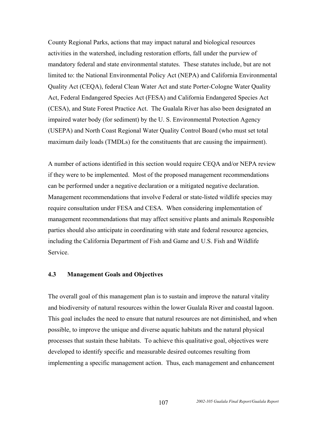County Regional Parks, actions that may impact natural and biological resources activities in the watershed, including restoration efforts, fall under the purview of mandatory federal and state environmental statutes. These statutes include, but are not limited to: the National Environmental Policy Act (NEPA) and California Environmental Quality Act (CEQA), federal Clean Water Act and state Porter-Cologne Water Quality Act, Federal Endangered Species Act (FESA) and California Endangered Species Act (CESA), and State Forest Practice Act. The Gualala River has also been designated an impaired water body (for sediment) by the U. S. Environmental Protection Agency (USEPA) and North Coast Regional Water Quality Control Board (who must set total maximum daily loads (TMDLs) for the constituents that are causing the impairment).

A number of actions identified in this section would require CEQA and/or NEPA review if they were to be implemented. Most of the proposed management recommendations can be performed under a negative declaration or a mitigated negative declaration. Management recommendations that involve Federal or state-listed wildlife species may require consultation under FESA and CESA. When considering implementation of management recommendations that may affect sensitive plants and animals Responsible parties should also anticipate in coordinating with state and federal resource agencies, including the California Department of Fish and Game and U.S. Fish and Wildlife Service.

#### **4.3 Management Goals and Objectives**

The overall goal of this management plan is to sustain and improve the natural vitality and biodiversity of natural resources within the lower Gualala River and coastal lagoon. This goal includes the need to ensure that natural resources are not diminished, and when possible, to improve the unique and diverse aquatic habitats and the natural physical processes that sustain these habitats. To achieve this qualitative goal, objectives were developed to identify specific and measurable desired outcomes resulting from implementing a specific management action. Thus, each management and enhancement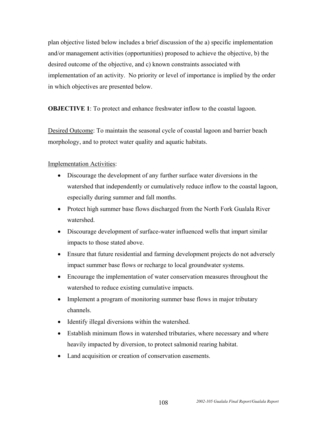plan objective listed below includes a brief discussion of the a) specific implementation and/or management activities (opportunities) proposed to achieve the objective, b) the desired outcome of the objective, and c) known constraints associated with implementation of an activity. No priority or level of importance is implied by the order in which objectives are presented below.

**OBJECTIVE 1**: To protect and enhance freshwater inflow to the coastal lagoon.

Desired Outcome: To maintain the seasonal cycle of coastal lagoon and barrier beach morphology, and to protect water quality and aquatic habitats.

#### Implementation Activities:

- Discourage the development of any further surface water diversions in the watershed that independently or cumulatively reduce inflow to the coastal lagoon, especially during summer and fall months.
- Protect high summer base flows discharged from the North Fork Gualala River watershed.
- Discourage development of surface-water influenced wells that impart similar impacts to those stated above.
- Ensure that future residential and farming development projects do not adversely impact summer base flows or recharge to local groundwater systems.
- Encourage the implementation of water conservation measures throughout the watershed to reduce existing cumulative impacts.
- Implement a program of monitoring summer base flows in major tributary channels.
- Identify illegal diversions within the watershed.
- Establish minimum flows in watershed tributaries, where necessary and where heavily impacted by diversion, to protect salmonid rearing habitat.
- Land acquisition or creation of conservation easements.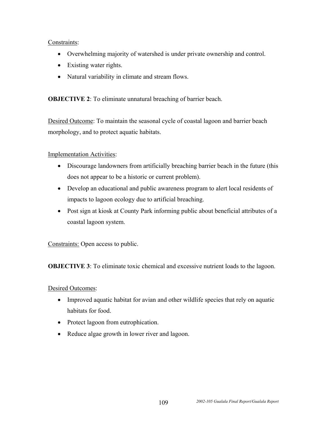#### Constraints:

- Overwhelming majority of watershed is under private ownership and control.
- Existing water rights.
- Natural variability in climate and stream flows.

**OBJECTIVE 2:** To eliminate unnatural breaching of barrier beach.

Desired Outcome: To maintain the seasonal cycle of coastal lagoon and barrier beach morphology, and to protect aquatic habitats.

### Implementation Activities:

- Discourage landowners from artificially breaching barrier beach in the future (this does not appear to be a historic or current problem).
- Develop an educational and public awareness program to alert local residents of impacts to lagoon ecology due to artificial breaching.
- Post sign at kiosk at County Park informing public about beneficial attributes of a coastal lagoon system.

Constraints: Open access to public.

**OBJECTIVE 3**: To eliminate toxic chemical and excessive nutrient loads to the lagoon.

### Desired Outcomes:

- Improved aquatic habitat for avian and other wildlife species that rely on aquatic habitats for food.
- Protect lagoon from eutrophication.
- Reduce algae growth in lower river and lagoon.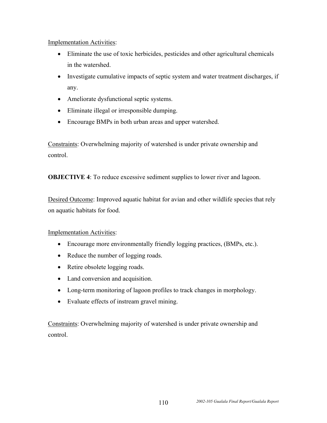#### Implementation Activities:

- Eliminate the use of toxic herbicides, pesticides and other agricultural chemicals in the watershed.
- Investigate cumulative impacts of septic system and water treatment discharges, if any.
- Ameliorate dysfunctional septic systems.
- Eliminate illegal or irresponsible dumping.
- Encourage BMPs in both urban areas and upper watershed.

Constraints: Overwhelming majority of watershed is under private ownership and control.

**OBJECTIVE 4**: To reduce excessive sediment supplies to lower river and lagoon.

Desired Outcome: Improved aquatic habitat for avian and other wildlife species that rely on aquatic habitats for food.

### Implementation Activities:

- Encourage more environmentally friendly logging practices, (BMPs, etc.).
- Reduce the number of logging roads.
- Retire obsolete logging roads.
- Land conversion and acquisition.
- Long-term monitoring of lagoon profiles to track changes in morphology.
- Evaluate effects of instream gravel mining.

Constraints: Overwhelming majority of watershed is under private ownership and control.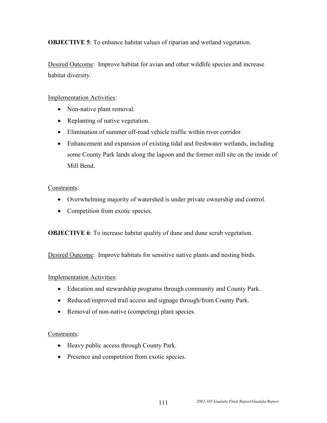**OBJECTIVE 5**: To enhance habitat values of riparian and wetland vegetation.

Desired Outcome: Improve habitat for avian and other wildlife species and increase habitat diversity.

#### Implementation Activities:

- Non-native plant removal.
- Replanting of native vegetation.
- Elimination of summer off-road vehicle traffic within river corridor.
- Enhancement and expansion of existing tidal and freshwater wetlands, including some County Park lands along the lagoon and the former mill site on the inside of Mill Bend.

#### Constraints:

- Overwhelming majority of watershed is under private ownership and control.
- Competition from exotic species.

**OBJECTIVE 6**: To increase habitat quality of dune and dune scrub vegetation.

Desired Outcome: Improve habitats for sensitive native plants and nesting birds.

### Implementation Activities:

- Education and stewardship programs through community and County Park.
- Reduced/improved trail access and signage through/from County Park.
- Removal of non-native (competing) plant species.

### Constraints:

- Heavy public access through County Park.
- Presence and competition from exotic species.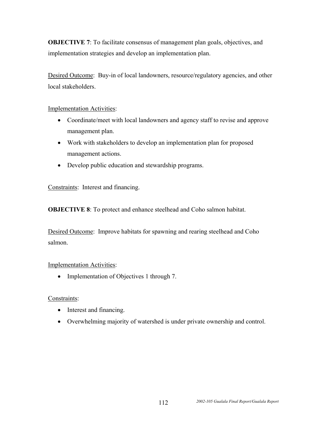**OBJECTIVE 7:** To facilitate consensus of management plan goals, objectives, and implementation strategies and develop an implementation plan.

Desired Outcome: Buy-in of local landowners, resource/regulatory agencies, and other local stakeholders.

#### Implementation Activities:

- Coordinate/meet with local landowners and agency staff to revise and approve management plan.
- Work with stakeholders to develop an implementation plan for proposed management actions.
- Develop public education and stewardship programs.

Constraints: Interest and financing.

**OBJECTIVE 8**: To protect and enhance steelhead and Coho salmon habitat.

Desired Outcome: Improve habitats for spawning and rearing steelhead and Coho salmon.

#### Implementation Activities:

• Implementation of Objectives 1 through 7.

### Constraints:

- Interest and financing.
- Overwhelming majority of watershed is under private ownership and control.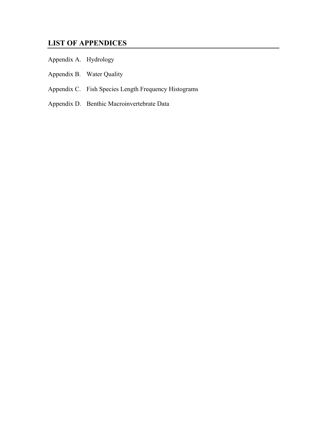## **LIST OF APPENDICES**

- Appendix A. Hydrology
- Appendix B. Water Quality
- Appendix C. Fish Species Length Frequency Histograms
- Appendix D. Benthic Macroinvertebrate Data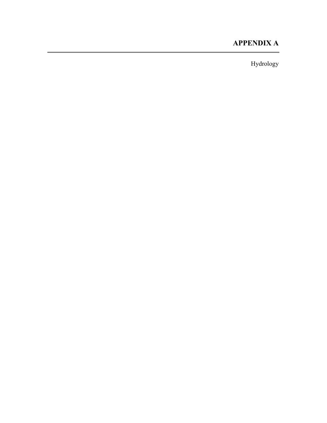## **APPENDIX A**

Hydrology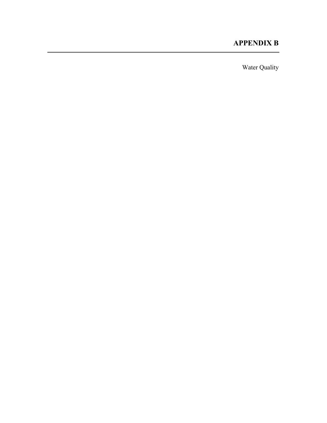## **APPENDIX B**

Water Quality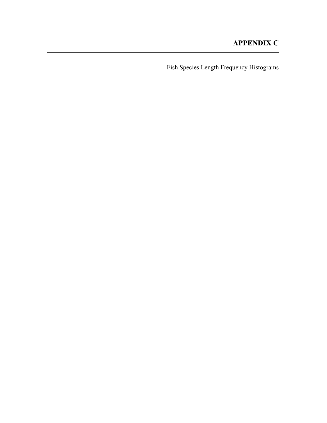Fish Species Length Frequency Histograms